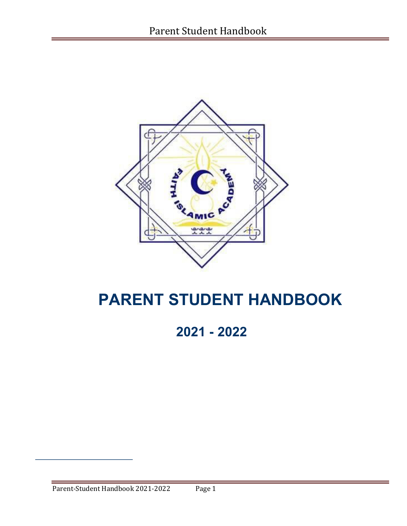

# **PARENT STUDENT HANDBOOK**

**2021 - 2022**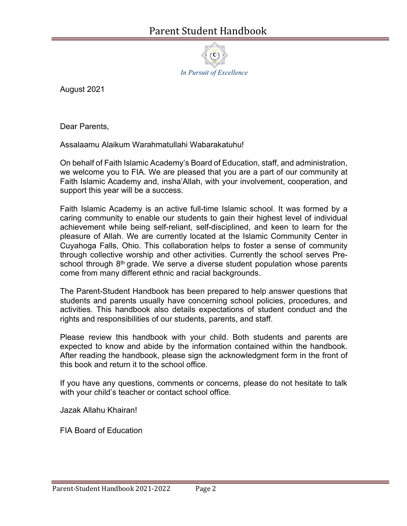

August 2021

Dear Parents,

Assalaamu Alaikum Warahmatullahi Wabarakatuhu!

On behalf of Faith Islamic Academy's Board of Education, staff, and administration, we welcome you to FIA. We are pleased that you are a part of our community at Faith Islamic Academy and, insha'Allah, with your involvement, cooperation, and support this year will be a success.

Faith Islamic Academy is an active full-time Islamic school. It was formed by a caring community to enable our students to gain their highest level of individual achievement while being self-reliant, self-disciplined, and keen to learn for the pleasure of Allah. We are currently located at the Islamic Community Center in Cuyahoga Falls, Ohio. This collaboration helps to foster a sense of community through collective worship and other activities. Currently the school serves Preschool through 8<sup>th</sup> grade. We serve a diverse student population whose parents come from many different ethnic and racial backgrounds.

The Parent-Student Handbook has been prepared to help answer questions that students and parents usually have concerning school policies, procedures, and activities. This handbook also details expectations of student conduct and the rights and responsibilities of our students, parents, and staff.

Please review this handbook with your child. Both students and parents are expected to know and abide by the information contained within the handbook. After reading the handbook, please sign the acknowledgment form in the front of this book and return it to the school office.

If you have any questions, comments or concerns, please do not hesitate to talk with your child's teacher or contact school office.

Jazak Allahu Khairan!

FIA Board of Education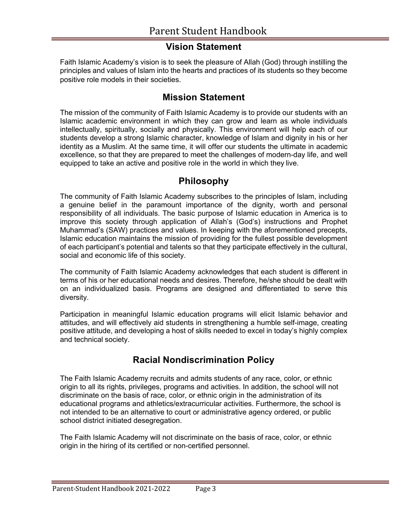#### **Vision Statement**

Faith Islamic Academy's vision is to seek the pleasure of Allah (God) through instilling the principles and values of Islam into the hearts and practices of its students so they become positive role models in their societies.

#### **Mission Statement**

The mission of the community of Faith Islamic Academy is to provide our students with an Islamic academic environment in which they can grow and learn as whole individuals intellectually, spiritually, socially and physically. This environment will help each of our students develop a strong Islamic character, knowledge of Islam and dignity in his or her identity as a Muslim. At the same time, it will offer our students the ultimate in academic excellence, so that they are prepared to meet the challenges of modern-day life, and well equipped to take an active and positive role in the world in which they live.

#### **Philosophy**

The community of Faith Islamic Academy subscribes to the principles of Islam, including a genuine belief in the paramount importance of the dignity, worth and personal responsibility of all individuals. The basic purpose of Islamic education in America is to improve this society through application of Allah's (God's) instructions and Prophet Muhammad's (SAW) practices and values. In keeping with the aforementioned precepts, Islamic education maintains the mission of providing for the fullest possible development of each participant's potential and talents so that they participate effectively in the cultural, social and economic life of this society.

The community of Faith Islamic Academy acknowledges that each student is different in terms of his or her educational needs and desires. Therefore, he/she should be dealt with on an individualized basis. Programs are designed and differentiated to serve this diversity.

Participation in meaningful Islamic education programs will elicit Islamic behavior and attitudes, and will effectively aid students in strengthening a humble self-image, creating positive attitude, and developing a host of skills needed to excel in today's highly complex and technical society.

### **Racial Nondiscrimination Policy**

The Faith Islamic Academy recruits and admits students of any race, color, or ethnic origin to all its rights, privileges, programs and activities. In addition, the school will not discriminate on the basis of race, color, or ethnic origin in the administration of its educational programs and athletics/extracurricular activities. Furthermore, the school is not intended to be an alternative to court or administrative agency ordered, or public school district initiated desegregation.

The Faith Islamic Academy will not discriminate on the basis of race, color, or ethnic origin in the hiring of its certified or non-certified personnel.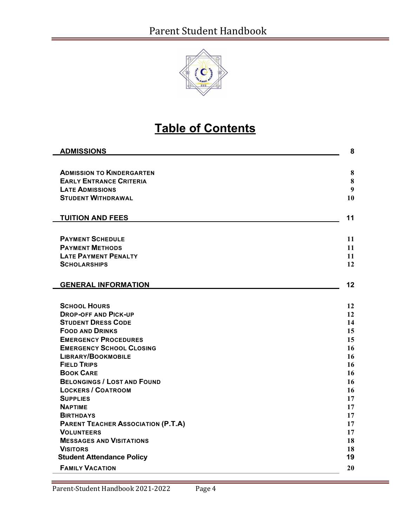

# **Table of Contents**

| <b>ADMISSIONS</b>                         | 8  |
|-------------------------------------------|----|
|                                           |    |
| <b>ADMISSION TO KINDERGARTEN</b>          | 8  |
| <b>EARLY ENTRANCE CRITERIA</b>            | 8  |
| <b>LATE ADMISSIONS</b>                    | 9  |
| <b>STUDENT WITHDRAWAL</b>                 | 10 |
|                                           |    |
| <b>TUITION AND FEES</b>                   | 11 |
|                                           |    |
| <b>PAYMENT SCHEDULE</b>                   | 11 |
| <b>PAYMENT METHODS</b>                    | 11 |
| <b>LATE PAYMENT PENALTY</b>               | 11 |
| <b>SCHOLARSHIPS</b>                       | 12 |
| <b>GENERAL INFORMATION</b>                | 12 |
|                                           |    |
| <b>SCHOOL HOURS</b>                       | 12 |
| <b>DROP-OFF AND PICK-UP</b>               | 12 |
| <b>STUDENT DRESS CODE</b>                 | 14 |
| <b>FOOD AND DRINKS</b>                    | 15 |
| <b>EMERGENCY PROCEDURES</b>               | 15 |
| <b>EMERGENCY SCHOOL CLOSING</b>           | 16 |
| LIBRARY/BOOKMOBILE                        | 16 |
| <b>FIELD TRIPS</b>                        | 16 |
| <b>BOOK CARE</b>                          | 16 |
| <b>BELONGINGS / LOST AND FOUND</b>        | 16 |
| <b>LOCKERS / COATROOM</b>                 | 16 |
| <b>SUPPLIES</b>                           | 17 |
| <b>NAPTIME</b>                            | 17 |
| <b>BIRTHDAYS</b>                          | 17 |
| <b>PARENT TEACHER ASSOCIATION (P.T.A)</b> | 17 |
| <b>VOLUNTEERS</b>                         | 17 |
| <b>MESSAGES AND VISITATIONS</b>           | 18 |
| <b>VISITORS</b>                           | 18 |
| <b>Student Attendance Policy</b>          | 19 |
| <b>FAMILY VACATION</b>                    | 20 |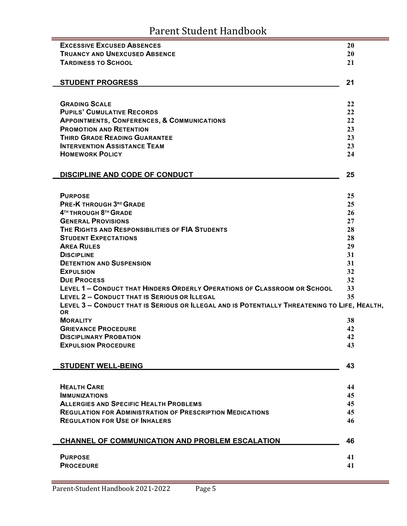| <b>EXCESSIVE EXCUSED ABSENCES</b>                                                                                               | 20       |
|---------------------------------------------------------------------------------------------------------------------------------|----------|
| <b>TRUANCY AND UNEXCUSED ABSENCE</b>                                                                                            | 20       |
| <b>TARDINESS TO SCHOOL</b>                                                                                                      | 21       |
|                                                                                                                                 |          |
| <b>STUDENT PROGRESS</b>                                                                                                         | 21       |
|                                                                                                                                 |          |
|                                                                                                                                 |          |
| <b>GRADING SCALE</b><br><b>PUPILS' CUMULATIVE RECORDS</b>                                                                       | 22<br>22 |
| <b>APPOINTMENTS, CONFERENCES, &amp; COMMUNICATIONS</b>                                                                          | 22       |
| <b>PROMOTION AND RETENTION</b>                                                                                                  | 23       |
| <b>THIRD GRADE READING GUARANTEE</b>                                                                                            | 23       |
| <b>INTERVENTION ASSISTANCE TEAM</b>                                                                                             | 23       |
| <b>HOMEWORK POLICY</b>                                                                                                          | 24       |
|                                                                                                                                 |          |
|                                                                                                                                 |          |
| <b>DISCIPLINE AND CODE OF CONDUCT</b>                                                                                           | 25       |
|                                                                                                                                 |          |
| <b>PURPOSE</b>                                                                                                                  | 25       |
| <b>PRE-K THROUGH 3RD GRADE</b>                                                                                                  | 25       |
| 4TH THROUGH 8TH GRADE                                                                                                           | 26       |
| <b>GENERAL PROVISIONS</b>                                                                                                       | 27       |
| THE RIGHTS AND RESPONSIBILITIES OF FIA STUDENTS                                                                                 | 28       |
| <b>STUDENT EXPECTATIONS</b>                                                                                                     | 28       |
| <b>AREA RULES</b>                                                                                                               | 29       |
| <b>DISCIPLINE</b>                                                                                                               | 31       |
| <b>DETENTION AND SUSPENSION</b>                                                                                                 | 31       |
| <b>EXPULSION</b>                                                                                                                | 32       |
| <b>DUE PROCESS</b>                                                                                                              | 32<br>33 |
| LEVEL 1 - CONDUCT THAT HINDERS ORDERLY OPERATIONS OF CLASSROOM OR SCHOOL<br><b>LEVEL 2 - CONDUCT THAT IS SERIOUS OR ILLEGAL</b> |          |
| LEVEL 3 - CONDUCT THAT IS SERIOUS OR ILLEGAL AND IS POTENTIALLY THREATENING TO LIFE, HEALTH,                                    | 35       |
| <b>OR</b>                                                                                                                       |          |
| <b>MORALITY</b>                                                                                                                 | 38       |
| <b>GRIEVANCE PROCEDURE</b>                                                                                                      | 42       |
| <b>DISCIPLINARY PROBATION</b>                                                                                                   | 42       |
| <b>EXPULSION PROCEDURE</b>                                                                                                      | 43       |
|                                                                                                                                 |          |
| <b>STUDENT WELL-BEING</b>                                                                                                       | 43       |
|                                                                                                                                 |          |
| <b>HEALTH CARE</b>                                                                                                              |          |
| <b>IMMUNIZATIONS</b>                                                                                                            | 44<br>45 |
| <b>ALLERGIES AND SPECIFIC HEALTH PROBLEMS</b>                                                                                   | 45       |
| <b>REGULATION FOR ADMINISTRATION OF PRESCRIPTION MEDICATIONS</b>                                                                | 45       |
| <b>REGULATION FOR USE OF INHALERS</b>                                                                                           | 46       |
|                                                                                                                                 |          |
|                                                                                                                                 |          |
| CHANNEL OF COMMUNICATION AND PROBLEM ESCALATION                                                                                 | 46       |
| <b>PURPOSE</b>                                                                                                                  | 41       |
| <b>PROCEDURE</b>                                                                                                                | 41       |
|                                                                                                                                 |          |

Ξ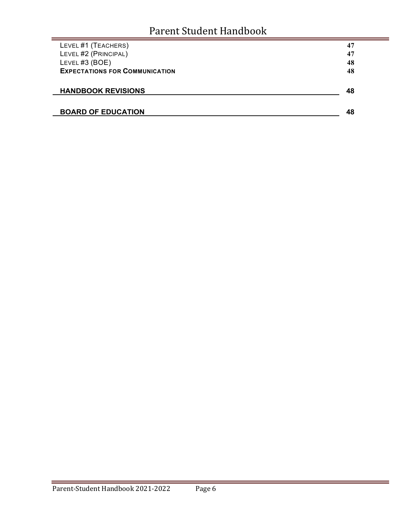| LEVEL #1 (TEACHERS)                   | 47 |
|---------------------------------------|----|
| LEVEL #2 (PRINCIPAL)                  | 47 |
| LEVEL #3 (BOE)                        | 48 |
| <b>EXPECTATIONS FOR COMMUNICATION</b> | 48 |
|                                       |    |
| <b>HANDBOOK REVISIONS</b>             | 48 |
|                                       |    |
| <b>BOARD OF EDUCATION</b>             | 48 |
|                                       |    |

÷.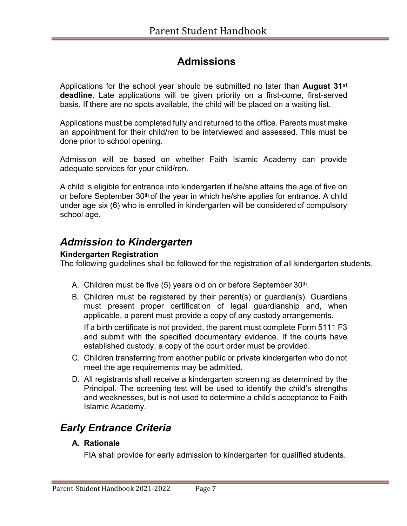## **Admissions**

Applications for the school year should be submitted no later than **August 31st deadline**. Late applications will be given priority on a first-come, first-served basis. If there are no spots available, the child will be placed on a waiting list.

Applications must be completed fully and returned to the office. Parents must make an appointment for their child/ren to be interviewed and assessed. This must be done prior to school opening.

Admission will be based on whether Faith Islamic Academy can provide adequate services for your child/ren.

A child is eligible for entrance into kindergarten if he/she attains the age of five on or before September 30<sup>th</sup> of the year in which he/she applies for entrance. A child under age six (6) who is enrolled in kindergarten will be considered of compulsory school age.

### *Admission to Kindergarten*

#### **Kindergarten Registration**

The following guidelines shall be followed for the registration of all kindergarten students.

- A. Children must be five (5) years old on or before September 30<sup>th</sup>.
- B. Children must be registered by their parent(s) or guardian(s). Guardians must present proper certification of legal guardianship and, when applicable, a parent must provide a copy of any custody arrangements.

If a birth certificate is not provided, the parent must complete Form 5111 F3 and submit with the specified documentary evidence. If the courts have established custody, a copy of the court order must be provided.

- C. Children transferring from another public or private kindergarten who do not meet the age requirements may be admitted.
- D. All registrants shall receive a kindergarten screening as determined by the Principal. The screening test will be used to identify the child's strengths and weaknesses, but is not used to determine a child's acceptance to Faith Islamic Academy.

## *Early Entrance Criteria*

#### **A. Rationale**

FIA shall provide for early admission to kindergarten for qualified students.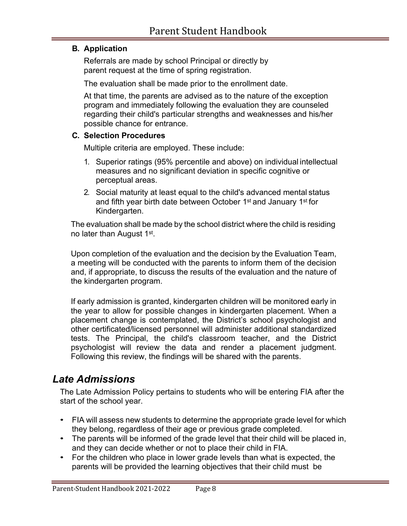#### **B. Application**

Referrals are made by school Principal or directly by parent request at the time of spring registration.

The evaluation shall be made prior to the enrollment date.

At that time, the parents are advised as to the nature of the exception program and immediately following the evaluation they are counseled regarding their child's particular strengths and weaknesses and his/her possible chance for entrance.

#### **C. Selection Procedures**

Multiple criteria are employed. These include:

- 1. Superior ratings (95% percentile and above) on individual intellectual measures and no significant deviation in specific cognitive or perceptual areas.
- 2. Social maturity at least equal to the child's advanced mental status and fifth year birth date between October 1st and January 1st for Kindergarten.

The evaluation shall be made by the school district where the child is residing no later than August 1st.

Upon completion of the evaluation and the decision by the Evaluation Team, a meeting will be conducted with the parents to inform them of the decision and, if appropriate, to discuss the results of the evaluation and the nature of the kindergarten program.

If early admission is granted, kindergarten children will be monitored early in the year to allow for possible changes in kindergarten placement. When a placement change is contemplated, the District's school psychologist and other certificated/licensed personnel will administer additional standardized tests. The Principal, the child's classroom teacher, and the District psychologist will review the data and render a placement judgment. Following this review, the findings will be shared with the parents.

### *Late Admissions*

The Late Admission Policy pertains to students who will be entering FIA after the start of the school year.

- FIA will assess new students to determine the appropriate grade level for which they belong, regardless of their age or previous grade completed.
- The parents will be informed of the grade level that their child will be placed in, and they can decide whether or not to place their child in FIA.
- For the children who place in lower grade levels than what is expected, the parents will be provided the learning objectives that their child must be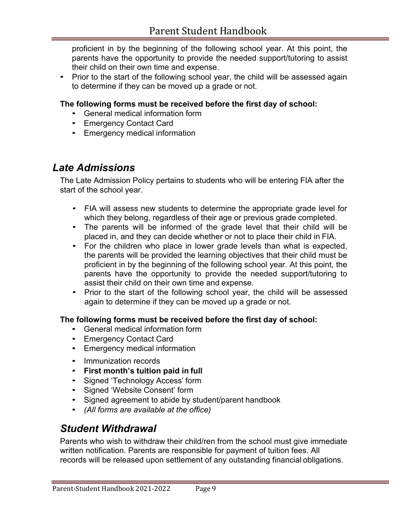proficient in by the beginning of the following school year. At this point, the parents have the opportunity to provide the needed support/tutoring to assist their child on their own time and expense.

• Prior to the start of the following school year, the child will be assessed again to determine if they can be moved up a grade or not.

#### **The following forms must be received before the first day of school:**

- General medical information form
- Emergency Contact Card
- Emergency medical information

### *Late Admissions*

The Late Admission Policy pertains to students who will be entering FIA after the start of the school year.

- FIA will assess new students to determine the appropriate grade level for which they belong, regardless of their age or previous grade completed.
- The parents will be informed of the grade level that their child will be placed in, and they can decide whether or not to place their child in FIA.
- For the children who place in lower grade levels than what is expected, the parents will be provided the learning objectives that their child must be proficient in by the beginning of the following school year. At this point, the parents have the opportunity to provide the needed support/tutoring to assist their child on their own time and expense.
- Prior to the start of the following school year, the child will be assessed again to determine if they can be moved up a grade or not.

#### **The following forms must be received before the first day of school:**

- General medical information form
- Emergency Contact Card
- Emergency medical information
- Immunization records
- **First month's tuition paid in full**
- Signed 'Technology Access' form
- Signed 'Website Consent' form
- Signed agreement to abide by student/parent handbook
- *(All forms are available at the office)*

### *Student Withdrawal*

Parents who wish to withdraw their child/ren from the school must give immediate written notification. Parents are responsible for payment of tuition fees. All records will be released upon settlement of any outstanding financial obligations.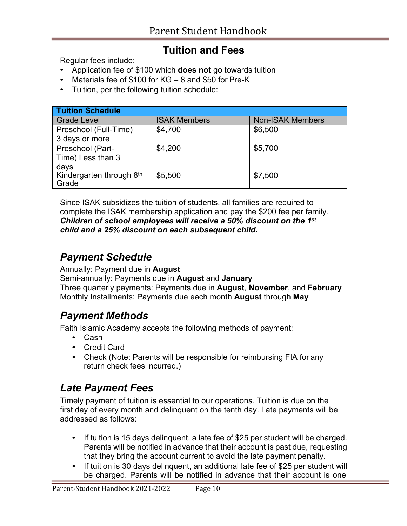## **Tuition and Fees**

Regular fees include:

- Application fee of \$100 which **does not** go towards tuition
- Materials fee of \$100 for KG 8 and \$50 for Pre-K
- Tuition, per the following tuition schedule:

| <b>Tuition Schedule</b>  |                     |                         |  |  |
|--------------------------|---------------------|-------------------------|--|--|
| <b>Grade Level</b>       | <b>ISAK Members</b> | <b>Non-ISAK Members</b> |  |  |
| Preschool (Full-Time)    | \$4,700             | \$6,500                 |  |  |
| 3 days or more           |                     |                         |  |  |
| Preschool (Part-         | \$4,200             | \$5,700                 |  |  |
| Time) Less than 3        |                     |                         |  |  |
| days                     |                     |                         |  |  |
| Kindergarten through 8th | \$5,500             | \$7,500                 |  |  |
| Grade                    |                     |                         |  |  |

Since ISAK subsidizes the tuition of students, all families are required to complete the ISAK membership application and pay the \$200 fee per family. *Children of school employees will receive a 50% discount on the 1st child and a 25% discount on each subsequent child.*

## *Payment Schedule*

Annually: Payment due in **August**

Semi-annually: Payments due in **August** and **January** Three quarterly payments: Payments due in **August**, **November**, and **February** Monthly Installments: Payments due each month **August** through **May**

## *Payment Methods*

Faith Islamic Academy accepts the following methods of payment:

- Cash
- Credit Card
- Check (Note: Parents will be responsible for reimbursing FIA for any return check fees incurred.)

## *Late Payment Fees*

Timely payment of tuition is essential to our operations. Tuition is due on the first day of every month and delinquent on the tenth day. Late payments will be addressed as follows:

- If tuition is 15 days delinquent, a late fee of \$25 per student will be charged. Parents will be notified in advance that their account is past due, requesting that they bring the account current to avoid the late payment penalty.
- If tuition is 30 days delinquent, an additional late fee of \$25 per student will be charged. Parents will be notified in advance that their account is one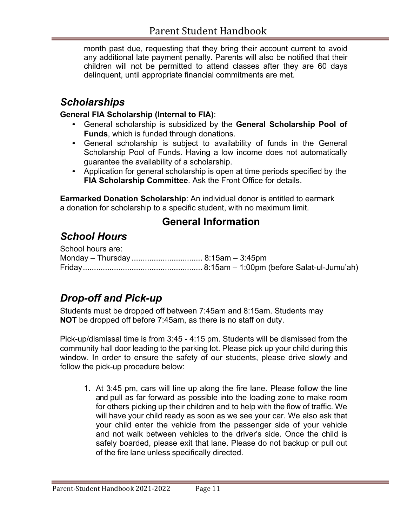month past due, requesting that they bring their account current to avoid any additional late payment penalty. Parents will also be notified that their children will not be permitted to attend classes after they are 60 days delinquent, until appropriate financial commitments are met.

## *Scholarships*

#### **General FIA Scholarship (Internal to FIA)**:

- General scholarship is subsidized by the **General Scholarship Pool of Funds**, which is funded through donations.
- General scholarship is subject to availability of funds in the General Scholarship Pool of Funds. Having a low income does not automatically guarantee the availability of a scholarship.
- Application for general scholarship is open at time periods specified by the **FIA Scholarship Committee**. Ask the Front Office for details.

**Earmarked Donation Scholarship**: An individual donor is entitled to earmark a donation for scholarship to a specific student, with no maximum limit.

### **General Information**

## *School Hours*

| School hours are: |  |
|-------------------|--|
|                   |  |
|                   |  |

## *Drop-off and Pick-up*

Students must be dropped off between 7:45am and 8:15am. Students may **NOT** be dropped off before 7:45am, as there is no staff on duty.

Pick-up/dismissal time is from 3:45 - 4:15 pm. Students will be dismissed from the community hall door leading to the parking lot. Please pick up your child during this window. In order to ensure the safety of our students, please drive slowly and follow the pick-up procedure below:

1. At 3:45 pm, cars will line up along the fire lane. Please follow the line and pull as far forward as possible into the loading zone to make room for others picking up their children and to help with the flow of traffic. We will have your child ready as soon as we see your car. We also ask that your child enter the vehicle from the passenger side of your vehicle and not walk between vehicles to the driver's side. Once the child is safely boarded, please exit that lane. Please do not backup or pull out of the fire lane unless specifically directed.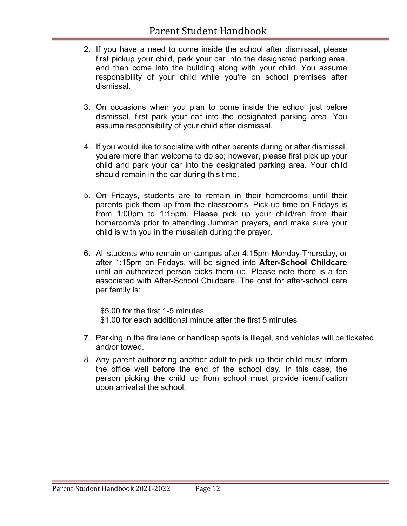- 2. If you have a need to come inside the school after dismissal, please first pickup your child, park your car into the designated parking area, and then come into the building along with your child. You assume responsibility of your child while you're on school premises after dismissal.
- 3. On occasions when you plan to come inside the school just before dismissal, first park your car into the designated parking area. You assume responsibility of your child after dismissal.
- 4. If you would like to socialize with other parents during or after dismissal, you are more than welcome to do so; however, please first pick up your child and park your car into the designated parking area. Your child should remain in the car during this time.
- 5. On Fridays, students are to remain in their homerooms until their parents pick them up from the classrooms. Pick-up time on Fridays is from 1:00pm to 1:15pm. Please pick up your child/ren from their homeroom/s prior to attending Jummah prayers, and make sure your child is with you in the musallah during the prayer.
- 6. All students who remain on campus after 4:15pm Monday-Thursday, or after 1:15pm on Fridays, will be signed into **After-School Childcare**  until an authorized person picks them up. Please note there is a fee associated with After-School Childcare. The cost for after-school care per family is:

\$5.00 for the first 1-5 minutes \$1.00 for each additional minute after the first 5 minutes

- 7. Parking in the fire lane or handicap spots is illegal, and vehicles will be ticketed and/or towed.
- 8. Any parent authorizing another adult to pick up their child must inform the office well before the end of the school day. In this case, the person picking the child up from school must provide identification upon arrival at the school.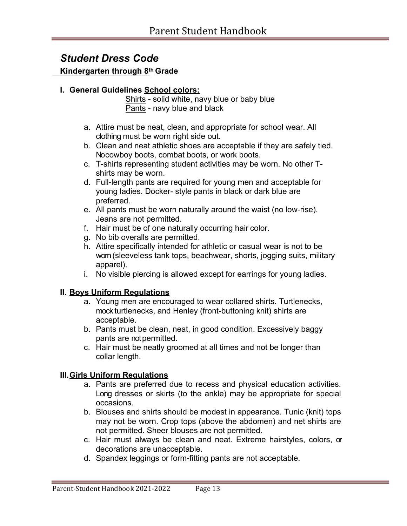### *Student Dress Code*

**Kindergarten through 8th Grade**

#### **I. General Guidelines School colors:**

Shirts - solid white, navy blue or baby blue Pants - navy blue and black

- a. Attire must be neat, clean, and appropriate for school wear. All clothing must be worn right side out.
- b. Clean and neat athletic shoes are acceptable if they are safely tied. No cowboy boots, combat boots, or work boots.
- c. T-shirts representing student activities may be worn. No other Tshirts may be worn.
- d. Full-length pants are required for young men and acceptable for young ladies. Docker- style pants in black or dark blue are preferred.
- e. All pants must be worn naturally around the waist (no low-rise). Jeans are not permitted.
- f. Hair must be of one naturally occurring hair color.
- g. No bib overalls are permitted.
- h. Attire specifically intended for athletic or casual wear is not to be wom (sleeveless tank tops, beachwear, shorts, jogging suits, military apparel).
- i. No visible piercing is allowed except for earrings for young ladies.

#### **II. Boys Uniform Regulations**

- a. Young men are encouraged to wear collared shirts. Turtlenecks, mock turtlenecks, and Henley (front-buttoning knit) shirts are acceptable.
- b. Pants must be clean, neat, in good condition. Excessively baggy pants are not permitted.
- c. Hair must be neatly groomed at all times and not be longer than collar length.

#### **III.Girls Uniform Regulations**

- a. Pants are preferred due to recess and physical education activities. Long dresses or skirts (to the ankle) may be appropriate for special occasions.
- b. Blouses and shirts should be modest in appearance. Tunic (knit) tops may not be worn. Crop tops (above the abdomen) and net shirts are not permitted. Sheer blouses are not permitted.
- c. Hair must always be clean and neat. Extreme hairstyles, colors, or decorations are unacceptable.
- d. Spandex leggings or form-fitting pants are not acceptable.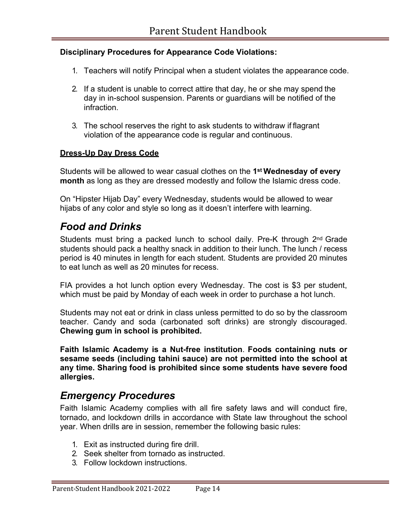#### **Disciplinary Procedures for Appearance Code Violations:**

- 1. Teachers will notify Principal when a student violates the appearance code.
- 2. If a student is unable to correct attire that day, he or she may spend the day in in-school suspension. Parents or guardians will be notified of the infraction.
- 3. The school reserves the right to ask students to withdraw if flagrant violation of the appearance code is regular and continuous.

#### **Dress-Up Day Dress Code**

Students will be allowed to wear casual clothes on the **1st Wednesday of every month** as long as they are dressed modestly and follow the Islamic dress code.

On "Hipster Hijab Day" every Wednesday, students would be allowed to wear hijabs of any color and style so long as it doesn't interfere with learning.

### *Food and Drinks*

Students must bring a packed lunch to school daily. Pre-K through  $2<sup>nd</sup>$  Grade students should pack a healthy snack in addition to their lunch. The lunch / recess period is 40 minutes in length for each student. Students are provided 20 minutes to eat lunch as well as 20 minutes for recess.

FIA provides a hot lunch option every Wednesday. The cost is \$3 per student, which must be paid by Monday of each week in order to purchase a hot lunch.

Students may not eat or drink in class unless permitted to do so by the classroom teacher. Candy and soda (carbonated soft drinks) are strongly discouraged. **Chewing gum in school is prohibited.**

**Faith Islamic Academy is a Nut-free institution**. **Foods containing nuts or sesame seeds (including tahini sauce) are not permitted into the school at any time. Sharing food is prohibited since some students have severe food allergies.**

### *Emergency Procedures*

Faith Islamic Academy complies with all fire safety laws and will conduct fire, tornado, and lockdown drills in accordance with State law throughout the school year. When drills are in session, remember the following basic rules:

- 1. Exit as instructed during fire drill.
- 2. Seek shelter from tornado as instructed.
- 3. Follow lockdown instructions.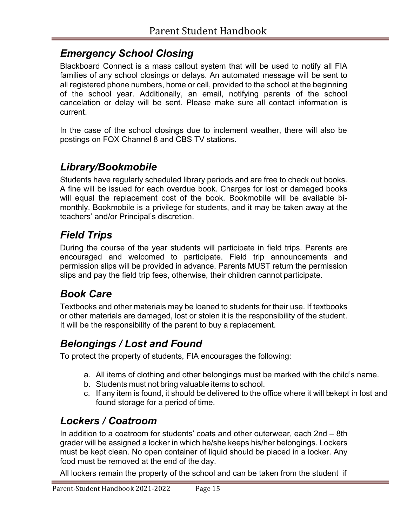## *Emergency School Closing*

Blackboard Connect is a mass callout system that will be used to notify all FIA families of any school closings or delays. An automated message will be sent to all registered phone numbers, home or cell, provided to the school at the beginning of the school year. Additionally, an email, notifying parents of the school cancelation or delay will be sent. Please make sure all contact information is current.

In the case of the school closings due to inclement weather, there will also be postings on FOX Channel 8 and CBS TV stations.

## *Library/Bookmobile*

Students have regularly scheduled library periods and are free to check out books. A fine will be issued for each overdue book. Charges for lost or damaged books will equal the replacement cost of the book. Bookmobile will be available bimonthly. Bookmobile is a privilege for students, and it may be taken away at the teachers' and/or Principal's discretion.

## *Field Trips*

During the course of the year students will participate in field trips. Parents are encouraged and welcomed to participate. Field trip announcements and permission slips will be provided in advance. Parents MUST return the permission slips and pay the field trip fees, otherwise, their children cannot participate.

## *Book Care*

Textbooks and other materials may be loaned to students for their use. If textbooks or other materials are damaged, lost or stolen it is the responsibility of the student. It will be the responsibility of the parent to buy a replacement.

## *Belongings / Lost and Found*

To protect the property of students, FIA encourages the following:

- a. All items of clothing and other belongings must be marked with the child's name.
- b. Students must not bring valuable items to school.
- c. If any item is found, it should be delivered to the office where it will be kept in lost and found storage for a period of time.

## *Lockers / Coatroom*

In addition to a coatroom for students' coats and other outerwear, each 2nd – 8th grader will be assigned a locker in which he/she keeps his/her belongings. Lockers must be kept clean. No open container of liquid should be placed in a locker. Any food must be removed at the end of the day.

All lockers remain the property of the school and can be taken from the student if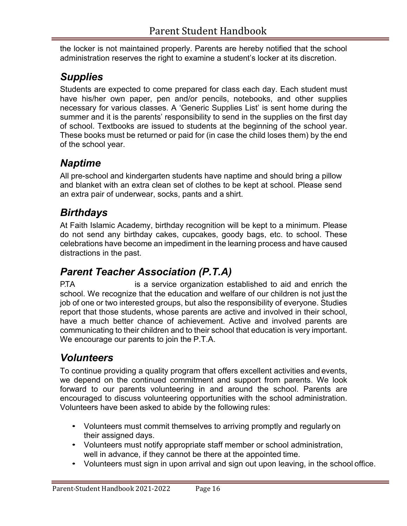the locker is not maintained properly. Parents are hereby notified that the school administration reserves the right to examine a student's locker at its discretion.

## *Supplies*

Students are expected to come prepared for class each day. Each student must have his/her own paper, pen and/or pencils, notebooks, and other supplies necessary for various classes. A 'Generic Supplies List' is sent home during the summer and it is the parents' responsibility to send in the supplies on the first day of school. Textbooks are issued to students at the beginning of the school year. These books must be returned or paid for (in case the child loses them) by the end of the school year.

## *Naptime*

All pre-school and kindergarten students have naptime and should bring a pillow and blanket with an extra clean set of clothes to be kept at school. Please send an extra pair of underwear, socks, pants and a shirt.

## *Birthdays*

At Faith Islamic Academy, birthday recognition will be kept to a minimum. Please do not send any birthday cakes, cupcakes, goody bags, etc. to school. These celebrations have become an impediment in the learning process and have caused distractions in the past.

## *Parent Teacher Association (P.T.A)*

P.TA is a service organization established to aid and enrich the school. We recognize that the education and welfare of our children is not just the job of one or two interested groups, but also the responsibility of everyone. Studies report that those students, whose parents are active and involved in their school, have a much better chance of achievement. Active and involved parents are communicating to their children and to their school that education is very important. We encourage our parents to join the P.T.A.

## *Volunteers*

To continue providing a quality program that offers excellent activities and events, we depend on the continued commitment and support from parents. We look forward to our parents volunteering in and around the school. Parents are encouraged to discuss volunteering opportunities with the school administration. Volunteers have been asked to abide by the following rules:

- Volunteers must commit themselves to arriving promptly and regularly on their assigned days.
- Volunteers must notify appropriate staff member or school administration, well in advance, if they cannot be there at the appointed time.
- Volunteers must sign in upon arrival and sign out upon leaving, in the school office.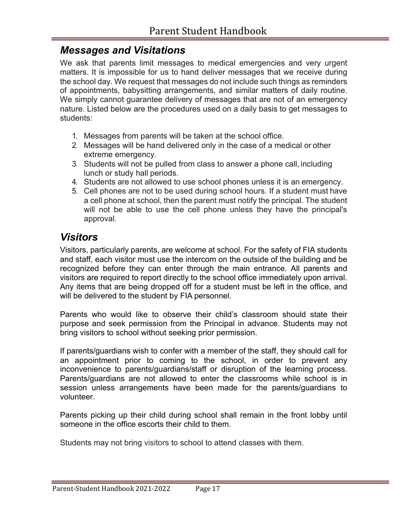### *Messages and Visitations*

We ask that parents limit messages to medical emergencies and very urgent matters. It is impossible for us to hand deliver messages that we receive during the school day. We request that messages do not include such things as reminders of appointments, babysitting arrangements, and similar matters of daily routine. We simply cannot quarantee delivery of messages that are not of an emergency nature. Listed below are the procedures used on a daily basis to get messages to students:

- 1. Messages from parents will be taken at the school office.
- 2. Messages will be hand delivered only in the case of a medical or other extreme emergency.
- 3. Students will not be pulled from class to answer a phone call, including lunch or study hall periods.
- 4. Students are not allowed to use school phones unless it is an emergency.
- 5. Cell phones are not to be used during school hours. If a student must have a cell phone at school, then the parent must notify the principal. The student will not be able to use the cell phone unless they have the principal's approval.

## *Visitors*

Visitors, particularly parents, are welcome at school. For the safety of FIA students and staff, each visitor must use the intercom on the outside of the building and be recognized before they can enter through the main entrance. All parents and visitors are required to report directly to the school office immediately upon arrival. Any items that are being dropped off for a student must be left in the office, and will be delivered to the student by FIA personnel.

Parents who would like to observe their child's classroom should state their purpose and seek permission from the Principal in advance. Students may not bring visitors to school without seeking prior permission.

If parents/guardians wish to confer with a member of the staff, they should call for an appointment prior to coming to the school, in order to prevent any inconvenience to parents/guardians/staff or disruption of the learning process. Parents/guardians are not allowed to enter the classrooms while school is in session unless arrangements have been made for the parents/guardians to volunteer.

Parents picking up their child during school shall remain in the front lobby until someone in the office escorts their child to them.

Students may not bring visitors to school to attend classes with them.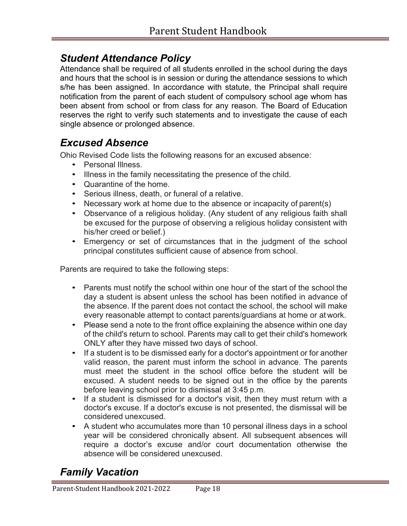## *Student Attendance Policy*

Attendance shall be required of all students enrolled in the school during the days and hours that the school is in session or during the attendance sessions to which s/he has been assigned. In accordance with statute, the Principal shall require notification from the parent of each student of compulsory school age whom has been absent from school or from class for any reason. The Board of Education reserves the right to verify such statements and to investigate the cause of each single absence or prolonged absence.

### *Excused Absence*

Ohio Revised Code lists the following reasons for an excused absence:

- Personal Illness.
- Illness in the family necessitating the presence of the child.
- Quarantine of the home.
- Serious illness, death, or funeral of a relative.
- Necessary work at home due to the absence or incapacity of parent(s)
- Observance of a religious holiday. (Any student of any religious faith shall be excused for the purpose of observing a religious holiday consistent with his/her creed or belief.)
- Emergency or set of circumstances that in the judgment of the school principal constitutes sufficient cause of absence from school.

Parents are required to take the following steps:

- Parents must notify the school within one hour of the start of the school the day a student is absent unless the school has been notified in advance of the absence. If the parent does not contact the school, the school will make every reasonable attempt to contact parents/guardians at home or at work.
- Please send a note to the front office explaining the absence within one day of the child's return to school. Parents may call to get their child's homework ONLY after they have missed two days of school.
- If a student is to be dismissed early for a doctor's appointment or for another valid reason, the parent must inform the school in advance. The parents must meet the student in the school office before the student will be excused. A student needs to be signed out in the office by the parents before leaving school prior to dismissal at 3:45 p.m.
- If a student is dismissed for a doctor's visit, then they must return with a doctor's excuse. If a doctor's excuse is not presented, the dismissal will be considered unexcused.
- A student who accumulates more than 10 personal illness days in a school year will be considered chronically absent. All subsequent absences will require a doctor's excuse and/or court documentation otherwise the absence will be considered unexcused.

## *Family Vacation*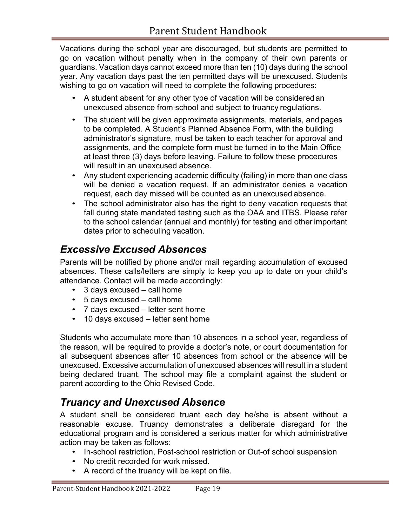Vacations during the school year are discouraged, but students are permitted to go on vacation without penalty when in the company of their own parents or guardians. Vacation days cannot exceed more than ten (10) days during the school year. Any vacation days past the ten permitted days will be unexcused. Students wishing to go on vacation will need to complete the following procedures:

- A student absent for any other type of vacation will be considered an unexcused absence from school and subject to truancy regulations.
- The student will be given approximate assignments, materials, and pages to be completed. A Student's Planned Absence Form, with the building administrator's signature, must be taken to each teacher for approval and assignments, and the complete form must be turned in to the Main Office at least three (3) days before leaving. Failure to follow these procedures will result in an unexcused absence.
- Any student experiencing academic difficulty (failing) in more than one class will be denied a vacation request. If an administrator denies a vacation request, each day missed will be counted as an unexcused absence.
- The school administrator also has the right to deny vacation requests that fall during state mandated testing such as the OAA and ITBS. Please refer to the school calendar (annual and monthly) for testing and other important dates prior to scheduling vacation.

## *Excessive Excused Absences*

Parents will be notified by phone and/or mail regarding accumulation of excused absences. These calls/letters are simply to keep you up to date on your child's attendance. Contact will be made accordingly:

- 3 days excused call home
- 5 days excused call home
- 7 days excused letter sent home
- 10 days excused letter sent home

Students who accumulate more than 10 absences in a school year, regardless of the reason, will be required to provide a doctor's note, or court documentation for all subsequent absences after 10 absences from school or the absence will be unexcused. Excessive accumulation of unexcused absences will result in a student being declared truant. The school may file a complaint against the student or parent according to the Ohio Revised Code.

## *Truancy and Unexcused Absence*

A student shall be considered truant each day he/she is absent without a reasonable excuse. Truancy demonstrates a deliberate disregard for the educational program and is considered a serious matter for which administrative action may be taken as follows:

- In-school restriction, Post-school restriction or Out-of school suspension
- No credit recorded for work missed.
- A record of the truancy will be kept on file.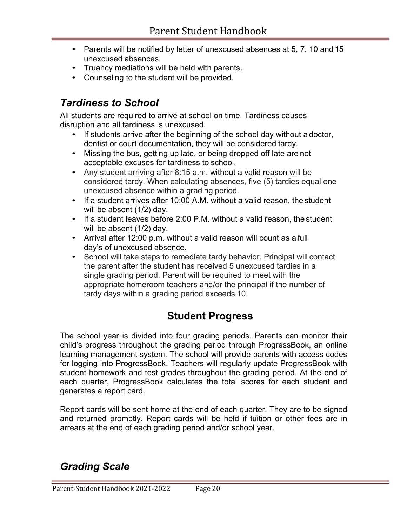- Parents will be notified by letter of unexcused absences at 5, 7, 10 and 15 unexcused absences.
- Truancy mediations will be held with parents.
- Counseling to the student will be provided.

## *Tardiness to School*

All students are required to arrive at school on time. Tardiness causes disruption and all tardiness is unexcused.

- If students arrive after the beginning of the school day without a doctor, dentist or court documentation, they will be considered tardy.
- Missing the bus, getting up late, or being dropped off late are not acceptable excuses for tardiness to school.
- Any student arriving after 8:15 a.m. without a valid reason will be considered tardy. When calculating absences, five (5) tardies equal one unexcused absence within a grading period.
- If a student arrives after 10:00 A.M. without a valid reason, the student will be absent (1/2) day.
- If a student leaves before 2:00 P.M. without a valid reason, the student will be absent (1/2) day.
- Arrival after 12:00 p.m. without a valid reason will count as a full day's of unexcused absence.
- School will take steps to remediate tardy behavior. Principal will contact the parent after the student has received 5 unexcused tardies in a single grading period. Parent will be required to meet with the appropriate homeroom teachers and/or the principal if the number of tardy days within a grading period exceeds 10.

## **Student Progress**

The school year is divided into four grading periods. Parents can monitor their child's progress throughout the grading period through ProgressBook, an online learning management system. The school will provide parents with access codes for logging into ProgressBook. Teachers will regularly update ProgressBook with student homework and test grades throughout the grading period. At the end of each quarter, ProgressBook calculates the total scores for each student and generates a report card.

Report cards will be sent home at the end of each quarter. They are to be signed and returned promptly. Report cards will be held if tuition or other fees are in arrears at the end of each grading period and/or school year.

## *Grading Scale*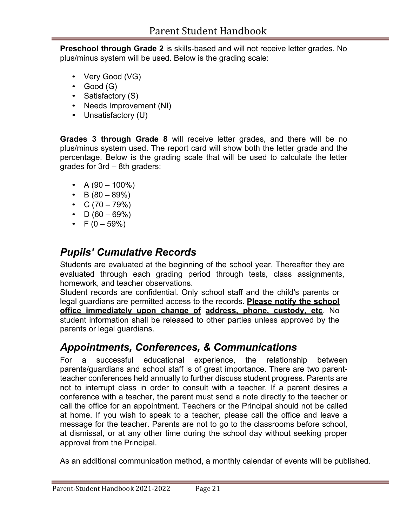**Preschool through Grade 2** is skills-based and will not receive letter grades. No plus/minus system will be used. Below is the grading scale:

- Very Good (VG)
- Good (G)
- Satisfactory (S)
- Needs Improvement (NI)
- Unsatisfactory (U)

**Grades 3 through Grade 8** will receive letter grades, and there will be no plus/minus system used. The report card will show both the letter grade and the percentage. Below is the grading scale that will be used to calculate the letter grades for 3rd – 8th graders:

- A  $(90 100\%)$
- B  $(80 89\%)$
- $C (70 79\%)$
- $D (60 69\%)$
- $F (0 59\%)$

## *Pupils' Cumulative Records*

Students are evaluated at the beginning of the school year. Thereafter they are evaluated through each grading period through tests, class assignments, homework, and teacher observations.

Student records are confidential. Only school staff and the child's parents or legal guardians are permitted access to the records. **Please notify the school office immediately upon change of address, phone, custody, etc**. No student information shall be released to other parties unless approved by the parents or legal guardians.

## *Appointments, Conferences, & Communications*

For a successful educational experience, the relationship between parents/guardians and school staff is of great importance. There are two parentteacher conferences held annually to further discuss student progress. Parents are not to interrupt class in order to consult with a teacher. If a parent desires a conference with a teacher, the parent must send a note directly to the teacher or call the office for an appointment. Teachers or the Principal should not be called at home. If you wish to speak to a teacher, please call the office and leave a message for the teacher. Parents are not to go to the classrooms before school, at dismissal, or at any other time during the school day without seeking proper approval from the Principal.

As an additional communication method, a monthly calendar of events will be published.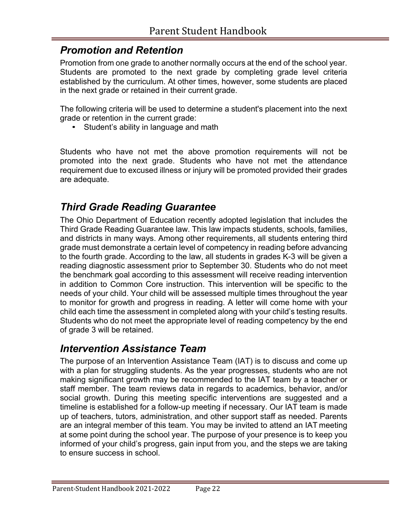## *Promotion and Retention*

Promotion from one grade to another normally occurs at the end of the school year. Students are promoted to the next grade by completing grade level criteria established by the curriculum. At other times, however, some students are placed in the next grade or retained in their current grade.

The following criteria will be used to determine a student's placement into the next grade or retention in the current grade:

• Student's ability in language and math

Students who have not met the above promotion requirements will not be promoted into the next grade. Students who have not met the attendance requirement due to excused illness or injury will be promoted provided their grades are adequate.

## *Third Grade Reading Guarantee*

The Ohio Department of Education recently adopted legislation that includes the Third Grade Reading Guarantee law. This law impacts students, schools, families, and districts in many ways. Among other requirements, all students entering third grade must demonstrate a certain level of competency in reading before advancing to the fourth grade. According to the law, all students in grades K-3 will be given a reading diagnostic assessment prior to September 30. Students who do not meet the benchmark goal according to this assessment will receive reading intervention in addition to Common Core instruction. This intervention will be specific to the needs of your child. Your child will be assessed multiple times throughout the year to monitor for growth and progress in reading. A letter will come home with your child each time the assessment in completed along with your child's testing results. Students who do not meet the appropriate level of reading competency by the end of grade 3 will be retained.

## *Intervention Assistance Team*

The purpose of an Intervention Assistance Team (IAT) is to discuss and come up with a plan for struggling students. As the year progresses, students who are not making significant growth may be recommended to the IAT team by a teacher or staff member. The team reviews data in regards to academics, behavior, and/or social growth. During this meeting specific interventions are suggested and a timeline is established for a follow-up meeting if necessary. Our IAT team is made up of teachers, tutors, administration, and other support staff as needed. Parents are an integral member of this team. You may be invited to attend an IAT meeting at some point during the school year. The purpose of your presence is to keep you informed of your child's progress, gain input from you, and the steps we are taking to ensure success in school.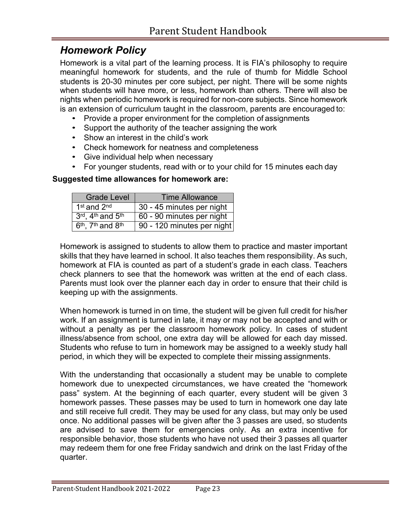### *Homework Policy*

Homework is a vital part of the learning process. It is FIA's philosophy to require meaningful homework for students, and the rule of thumb for Middle School students is 20-30 minutes per core subject, per night. There will be some nights when students will have more, or less, homework than others. There will also be nights when periodic homework is required for non-core subjects. Since homework is an extension of curriculum taught in the classroom, parents are encouraged to:

- Provide a proper environment for the completion of assignments
- Support the authority of the teacher assigning the work
- Show an interest in the child's work
- Check homework for neatness and completeness
- Give individual help when necessary
- For younger students, read with or to your child for 15 minutes each day

#### **Suggested time allowances for homework are:**

| <b>Grade Level</b>                  | <b>Time Allowance</b>      |  |
|-------------------------------------|----------------------------|--|
| 1 <sup>st</sup> and 2 <sup>nd</sup> | 30 - 45 minutes per night  |  |
| 3rd, 4th and 5th                    | 60 - 90 minutes per night  |  |
| $6th$ . 7 <sup>th</sup> and $8th$   | 90 - 120 minutes per night |  |

Homework is assigned to students to allow them to practice and master important skills that they have learned in school. It also teaches them responsibility. As such, homework at FIA is counted as part of a student's grade in each class. Teachers check planners to see that the homework was written at the end of each class. Parents must look over the planner each day in order to ensure that their child is keeping up with the assignments.

When homework is turned in on time, the student will be given full credit for his/her work. If an assignment is turned in late, it may or may not be accepted and with or without a penalty as per the classroom homework policy. In cases of student illness/absence from school, one extra day will be allowed for each day missed. Students who refuse to turn in homework may be assigned to a weekly study hall period, in which they will be expected to complete their missing assignments.

With the understanding that occasionally a student may be unable to complete homework due to unexpected circumstances, we have created the "homework pass" system. At the beginning of each quarter, every student will be given 3 homework passes. These passes may be used to turn in homework one day late and still receive full credit. They may be used for any class, but may only be used once. No additional passes will be given after the 3 passes are used, so students are advised to save them for emergencies only. As an extra incentive for responsible behavior, those students who have not used their 3 passes all quarter may redeem them for one free Friday sandwich and drink on the last Friday of the quarter.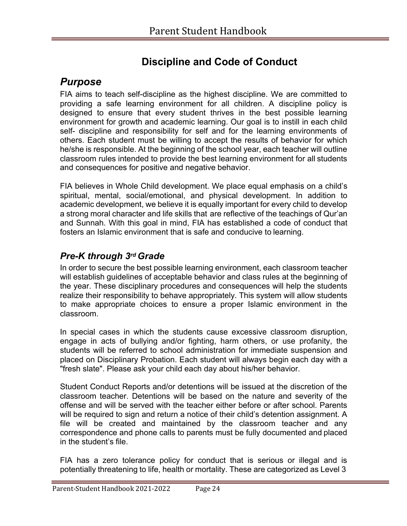## **Discipline and Code of Conduct**

### *Purpose*

FIA aims to teach self-discipline as the highest discipline. We are committed to providing a safe learning environment for all children. A discipline policy is designed to ensure that every student thrives in the best possible learning environment for growth and academic learning. Our goal is to instill in each child self- discipline and responsibility for self and for the learning environments of others. Each student must be willing to accept the results of behavior for which he/she is responsible. At the beginning of the school year, each teacher will outline classroom rules intended to provide the best learning environment for all students and consequences for positive and negative behavior.

FIA believes in Whole Child development. We place equal emphasis on a child's spiritual, mental, social/emotional, and physical development. In addition to academic development, we believe it is equally important for every child to develop a strong moral character and life skills that are reflective of the teachings of Qur'an and Sunnah. With this goal in mind, FIA has established a code of conduct that fosters an Islamic environment that is safe and conducive to learning.

### *Pre-K through 3rd Grade*

In order to secure the best possible learning environment, each classroom teacher will establish guidelines of acceptable behavior and class rules at the beginning of the year. These disciplinary procedures and consequences will help the students realize their responsibility to behave appropriately. This system will allow students to make appropriate choices to ensure a proper Islamic environment in the classroom.

In special cases in which the students cause excessive classroom disruption, engage in acts of bullying and/or fighting, harm others, or use profanity, the students will be referred to school administration for immediate suspension and placed on Disciplinary Probation. Each student will always begin each day with a "fresh slate". Please ask your child each day about his/her behavior.

Student Conduct Reports and/or detentions will be issued at the discretion of the classroom teacher. Detentions will be based on the nature and severity of the offense and will be served with the teacher either before or after school. Parents will be required to sign and return a notice of their child's detention assignment. A file will be created and maintained by the classroom teacher and any correspondence and phone calls to parents must be fully documented and placed in the student's file.

FIA has a zero tolerance policy for conduct that is serious or illegal and is potentially threatening to life, health or mortality. These are categorized as Level 3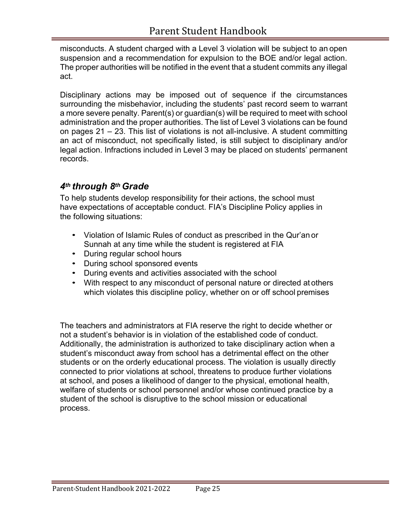misconducts. A student charged with a Level 3 violation will be subject to an open suspension and a recommendation for expulsion to the BOE and/or legal action. The proper authorities will be notified in the event that a student commits any illegal act.

Disciplinary actions may be imposed out of sequence if the circumstances surrounding the misbehavior, including the students' past record seem to warrant a more severe penalty. Parent(s) or guardian(s) will be required to meet with school administration and the proper authorities. The list of Level 3 violations can be found on pages 21 – 23. This list of violations is not all-inclusive. A student committing an act of misconduct, not specifically listed, is still subject to disciplinary and/or legal action. Infractions included in Level 3 may be placed on students' permanent records.

#### *4th through 8th Grade*

To help students develop responsibility for their actions, the school must have expectations of acceptable conduct. FIA's Discipline Policy applies in the following situations:

- Violation of Islamic Rules of conduct as prescribed in the Qur'an or Sunnah at any time while the student is registered at FIA
- During regular school hours
- During school sponsored events
- During events and activities associated with the school
- With respect to any misconduct of personal nature or directed at others which violates this discipline policy, whether on or off school premises

The teachers and administrators at FIA reserve the right to decide whether or not a student's behavior is in violation of the established code of conduct. Additionally, the administration is authorized to take disciplinary action when a student's misconduct away from school has a detrimental effect on the other students or on the orderly educational process. The violation is usually directly connected to prior violations at school, threatens to produce further violations at school, and poses a likelihood of danger to the physical, emotional health, welfare of students or school personnel and/or whose continued practice by a student of the school is disruptive to the school mission or educational process.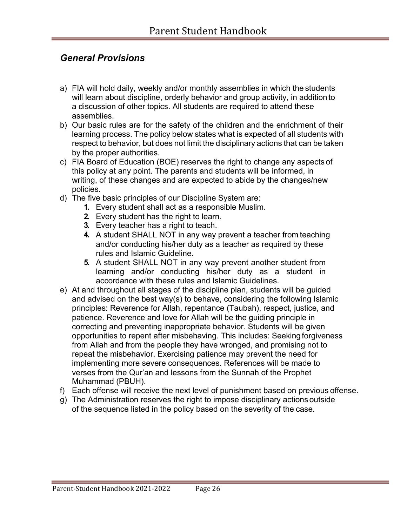#### *General Provisions*

- a) FIA will hold daily, weekly and/or monthly assemblies in which the students will learn about discipline, orderly behavior and group activity, in addition to a discussion of other topics. All students are required to attend these assemblies.
- b) Our basic rules are for the safety of the children and the enrichment of their learning process. The policy below states what is expected of all students with respect to behavior, but does not limit the disciplinary actions that can be taken by the proper authorities.
- c) FIA Board of Education (BOE) reserves the right to change any aspects of this policy at any point. The parents and students will be informed, in writing, of these changes and are expected to abide by the changes/new policies.
- d) The five basic principles of our Discipline System are:
	- **1.** Every student shall act as a responsible Muslim.
	- **2.** Every student has the right to learn.
	- **3.** Every teacher has a right to teach.
	- **4.** A student SHALL NOT in any way prevent a teacher from teaching and/or conducting his/her duty as a teacher as required by these rules and Islamic Guideline.
	- **5.** A student SHALL NOT in any way prevent another student from learning and/or conducting his/her duty as a student in accordance with these rules and Islamic Guidelines.
- e) At and throughout all stages of the discipline plan, students will be guided and advised on the best way(s) to behave, considering the following Islamic principles: Reverence for Allah, repentance (Taubah), respect, justice, and patience. Reverence and love for Allah will be the guiding principle in correcting and preventing inappropriate behavior. Students will be given opportunities to repent after misbehaving. This includes: Seeking forgiveness from Allah and from the people they have wronged, and promising not to repeat the misbehavior. Exercising patience may prevent the need for implementing more severe consequences. References will be made to verses from the Qur'an and lessons from the Sunnah of the Prophet Muhammad (PBUH).
- f) Each offense will receive the next level of punishment based on previous offense.
- g) The Administration reserves the right to impose disciplinary actions outside of the sequence listed in the policy based on the severity of the case.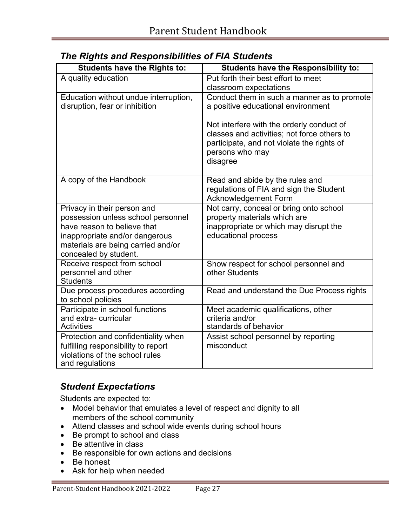| <b>Students have the Rights to:</b>    | <b>Students have the Responsibility to:</b> |
|----------------------------------------|---------------------------------------------|
| A quality education                    | Put forth their best effort to meet         |
|                                        | classroom expectations                      |
| Education without undue interruption,  | Conduct them in such a manner as to promote |
| disruption, fear or inhibition         | a positive educational environment          |
|                                        | Not interfere with the orderly conduct of   |
|                                        | classes and activities; not force others to |
|                                        | participate, and not violate the rights of  |
|                                        | persons who may                             |
|                                        | disagree                                    |
| A copy of the Handbook                 | Read and abide by the rules and             |
|                                        | regulations of FIA and sign the Student     |
|                                        | Acknowledgement Form                        |
| Privacy in their person and            | Not carry, conceal or bring onto school     |
| possession unless school personnel     | property materials which are                |
| have reason to believe that            | inappropriate or which may disrupt the      |
| inappropriate and/or dangerous         | educational process                         |
| materials are being carried and/or     |                                             |
| concealed by student.                  |                                             |
| Receive respect from school            | Show respect for school personnel and       |
| personnel and other<br><b>Students</b> | other Students                              |
| Due process procedures according       | Read and understand the Due Process rights  |
| to school policies                     |                                             |
| Participate in school functions        | Meet academic qualifications, other         |
| and extra-curricular                   | criteria and/or                             |
| <b>Activities</b>                      | standards of behavior                       |
| Protection and confidentiality when    | Assist school personnel by reporting        |
| fulfilling responsibility to report    | misconduct                                  |
| violations of the school rules         |                                             |
| and regulations                        |                                             |

### *The Rights and Responsibilities of FIA Students*

### *Student Expectations*

Students are expected to:

- Model behavior that emulates a level of respect and dignity to all members of the school community
- Attend classes and school wide events during school hours
- Be prompt to school and class
- Be attentive in class
- Be responsible for own actions and decisions
- Be honest
- Ask for help when needed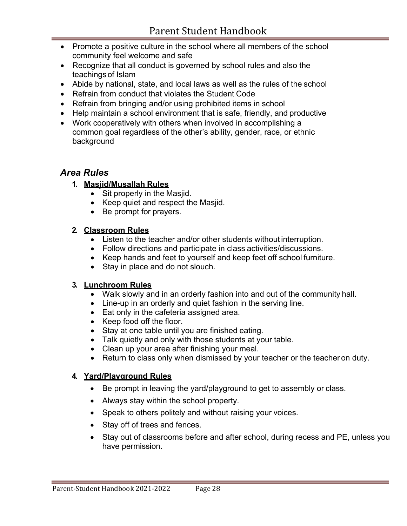- Promote a positive culture in the school where all members of the school community feel welcome and safe
- Recognize that all conduct is governed by school rules and also the teachings of Islam
- Abide by national, state, and local laws as well as the rules of the school
- Refrain from conduct that violates the Student Code
- Refrain from bringing and/or using prohibited items in school
- Help maintain a school environment that is safe, friendly, and productive
- Work cooperatively with others when involved in accomplishing a common goal regardless of the other's ability, gender, race, or ethnic background

#### *Area Rules*

- **1. Masjid/Musallah Rules**
	- Sit properly in the Masjid.
	- Keep quiet and respect the Masjid.
	- Be prompt for prayers.

#### **2. Classroom Rules**

- Listen to the teacher and/or other students without interruption.
- Follow directions and participate in class activities/discussions.
- Keep hands and feet to yourself and keep feet off school furniture.
- Stay in place and do not slouch.

#### **3. Lunchroom Rules**

- Walk slowly and in an orderly fashion into and out of the community hall.
- Line-up in an orderly and quiet fashion in the serving line.
- Eat only in the cafeteria assigned area.
- Keep food off the floor.
- Stay at one table until you are finished eating.
- Talk quietly and only with those students at your table.
- Clean up your area after finishing your meal.
- Return to class only when dismissed by your teacher or the teacher on duty.

#### **4. Yard/Playground Rules**

- Be prompt in leaving the yard/playground to get to assembly or class.
- Always stay within the school property.
- Speak to others politely and without raising your voices.
- Stay off of trees and fences.
- Stay out of classrooms before and after school, during recess and PE, unless you have permission.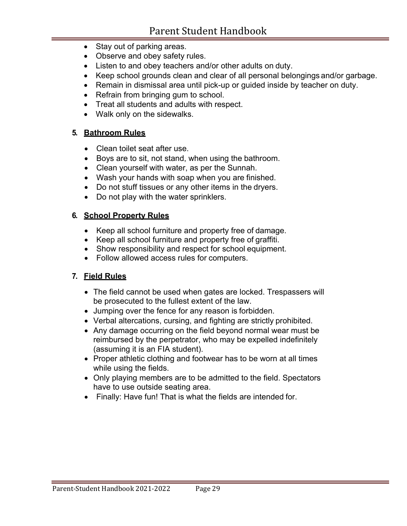- Stay out of parking areas.
- Observe and obey safety rules.
- Listen to and obey teachers and/or other adults on duty.
- Keep school grounds clean and clear of all personal belongings and/or garbage.
- Remain in dismissal area until pick-up or guided inside by teacher on duty.
- Refrain from bringing gum to school.
- Treat all students and adults with respect.
- Walk only on the sidewalks.

#### **5. Bathroom Rules**

- Clean toilet seat after use.
- Boys are to sit, not stand, when using the bathroom.
- Clean yourself with water, as per the Sunnah.
- Wash your hands with soap when you are finished.
- Do not stuff tissues or any other items in the dryers.
- Do not play with the water sprinklers.

#### **6. School Property Rules**

- Keep all school furniture and property free of damage.
- Keep all school furniture and property free of graffiti.
- Show responsibility and respect for school equipment.
- Follow allowed access rules for computers.

#### **7. Field Rules**

- The field cannot be used when gates are locked. Trespassers will be prosecuted to the fullest extent of the law.
- Jumping over the fence for any reason is forbidden.
- Verbal altercations, cursing, and fighting are strictly prohibited.
- Any damage occurring on the field beyond normal wear must be reimbursed by the perpetrator, who may be expelled indefinitely (assuming it is an FIA student).
- Proper athletic clothing and footwear has to be worn at all times while using the fields.
- Only playing members are to be admitted to the field. Spectators have to use outside seating area.
- Finally: Have fun! That is what the fields are intended for.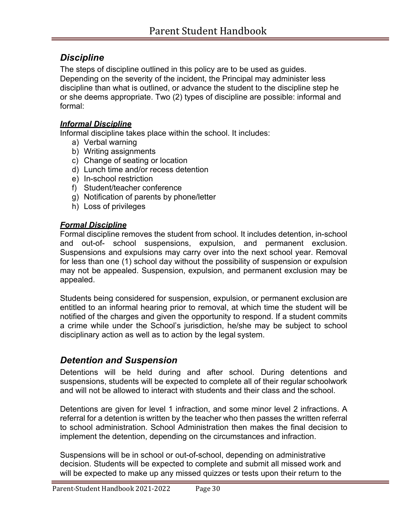### *Discipline*

The steps of discipline outlined in this policy are to be used as guides. Depending on the severity of the incident, the Principal may administer less discipline than what is outlined, or advance the student to the discipline step he or she deems appropriate. Two (2) types of discipline are possible: informal and formal:

#### *Informal Discipline*

Informal discipline takes place within the school. It includes:

- a) Verbal warning
- b) Writing assignments
- c) Change of seating or location
- d) Lunch time and/or recess detention
- e) In-school restriction
- f) Student/teacher conference
- g) Notification of parents by phone/letter
- h) Loss of privileges

#### *Formal Discipline*

Formal discipline removes the student from school. It includes detention, in-school and out-of- school suspensions, expulsion, and permanent exclusion. Suspensions and expulsions may carry over into the next school year. Removal for less than one (1) school day without the possibility of suspension or expulsion may not be appealed. Suspension, expulsion, and permanent exclusion may be appealed.

Students being considered for suspension, expulsion, or permanent exclusion are entitled to an informal hearing prior to removal, at which time the student will be notified of the charges and given the opportunity to respond. If a student commits a crime while under the School's jurisdiction, he/she may be subject to school disciplinary action as well as to action by the legal system.

#### *Detention and Suspension*

Detentions will be held during and after school. During detentions and suspensions, students will be expected to complete all of their regular schoolwork and will not be allowed to interact with students and their class and the school.

Detentions are given for level 1 infraction, and some minor level 2 infractions. A referral for a detention is written by the teacher who then passes the written referral to school administration. School Administration then makes the final decision to implement the detention, depending on the circumstances and infraction.

Suspensions will be in school or out-of-school, depending on administrative decision. Students will be expected to complete and submit all missed work and will be expected to make up any missed quizzes or tests upon their return to the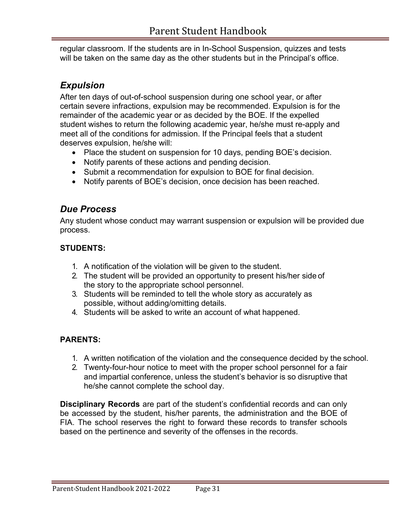regular classroom. If the students are in In-School Suspension, quizzes and tests will be taken on the same day as the other students but in the Principal's office.

#### *Expulsion*

After ten days of out-of-school suspension during one school year, or after certain severe infractions, expulsion may be recommended. Expulsion is for the remainder of the academic year or as decided by the BOE. If the expelled student wishes to return the following academic year, he/she must re-apply and meet all of the conditions for admission. If the Principal feels that a student deserves expulsion, he/she will:

- Place the student on suspension for 10 days, pending BOE's decision.
- Notify parents of these actions and pending decision.
- Submit a recommendation for expulsion to BOE for final decision.
- Notify parents of BOE's decision, once decision has been reached.

### *Due Process*

Any student whose conduct may warrant suspension or expulsion will be provided due process.

#### **STUDENTS:**

- 1. A notification of the violation will be given to the student.
- 2. The student will be provided an opportunity to present his/her side of the story to the appropriate school personnel.
- 3. Students will be reminded to tell the whole story as accurately as possible, without adding/omitting details.
- 4. Students will be asked to write an account of what happened.

#### **PARENTS:**

- 1. A written notification of the violation and the consequence decided by the school.
- 2. Twenty-four-hour notice to meet with the proper school personnel for a fair and impartial conference, unless the student's behavior is so disruptive that he/she cannot complete the school day.

**Disciplinary Records** are part of the student's confidential records and can only be accessed by the student, his/her parents, the administration and the BOE of FIA. The school reserves the right to forward these records to transfer schools based on the pertinence and severity of the offenses in the records.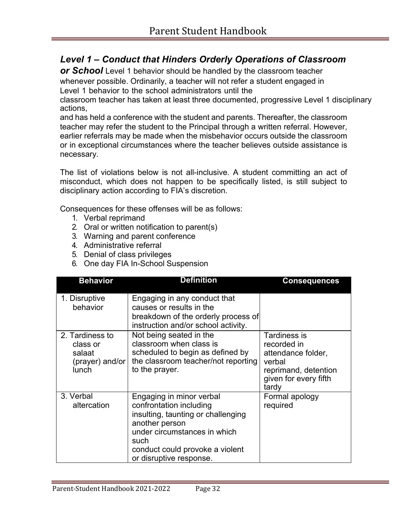### *Level 1 – Conduct that Hinders Orderly Operations of Classroom*

**or School** Level 1 behavior should be handled by the classroom teacher whenever possible. Ordinarily, a teacher will not refer a student engaged in Level 1 behavior to the school administrators until the

classroom teacher has taken at least three documented, progressive Level 1 disciplinary actions,

and has held a conference with the student and parents. Thereafter, the classroom teacher may refer the student to the Principal through a written referral. However, earlier referrals may be made when the misbehavior occurs outside the classroom or in exceptional circumstances where the teacher believes outside assistance is necessary.

The list of violations below is not all-inclusive. A student committing an act of misconduct, which does not happen to be specifically listed, is still subject to disciplinary action according to FIA's discretion.

Consequences for these offenses will be as follows:

- 1. Verbal reprimand
- 2. Oral or written notification to parent(s)
- 3. Warning and parent conference
- 4. Administrative referral
- 5. Denial of class privileges
- 6. One day FIA In-School Suspension

| <b>Behavior</b>                                                          | <b>Definition</b>                                                                                                                                                                                                 | <b>Consequences</b>                                                                                                   |
|--------------------------------------------------------------------------|-------------------------------------------------------------------------------------------------------------------------------------------------------------------------------------------------------------------|-----------------------------------------------------------------------------------------------------------------------|
| 1. Disruptive<br>behavior                                                | Engaging in any conduct that<br>causes or results in the<br>breakdown of the orderly process of<br>instruction and/or school activity.                                                                            |                                                                                                                       |
| 2. Tardiness to<br>class or<br>salaat<br>(prayer) and/or<br><b>lunch</b> | Not being seated in the<br>classroom when class is<br>scheduled to begin as defined by<br>the classroom teacher/not reporting<br>to the prayer.                                                                   | Tardiness is<br>recorded in<br>attendance folder,<br>verbal<br>reprimand, detention<br>given for every fifth<br>tardy |
| 3. Verbal<br>altercation                                                 | Engaging in minor verbal<br>confrontation including<br>insulting, taunting or challenging<br>another person<br>under circumstances in which<br>such<br>conduct could provoke a violent<br>or disruptive response. | Formal apology<br>required                                                                                            |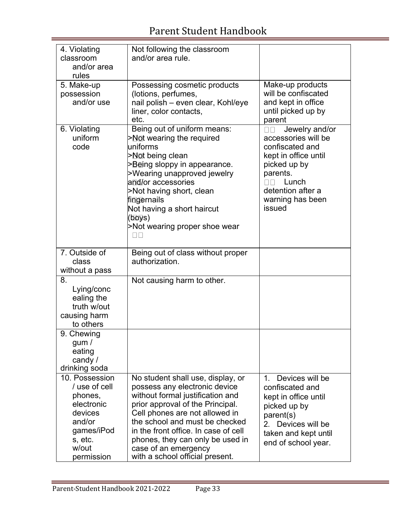| 4. Violating<br>classroom<br>and/or area<br>rules                                                                             | Not following the classroom<br>and/or area rule.                                                                                                                                                                                                                                                                                                      |                                                                                                                                                                                        |
|-------------------------------------------------------------------------------------------------------------------------------|-------------------------------------------------------------------------------------------------------------------------------------------------------------------------------------------------------------------------------------------------------------------------------------------------------------------------------------------------------|----------------------------------------------------------------------------------------------------------------------------------------------------------------------------------------|
| 5. Make-up<br>possession<br>and/or use                                                                                        | Possessing cosmetic products<br>(lotions, perfumes,<br>nail polish - even clear, Kohl/eye<br>liner, color contacts,<br>etc.                                                                                                                                                                                                                           | Make-up products<br>will be confiscated<br>and kept in office<br>until picked up by<br>parent                                                                                          |
| 6. Violating<br>uniform<br>code                                                                                               | Being out of uniform means:<br>>Not wearing the required<br>uniforms<br>>Not being clean<br>>Being sloppy in appearance.<br>>Wearing unapproved jewelry<br>and/or accessories<br>>Not having short, clean<br>fingernails<br>Not having a short haircut<br>(boys)<br>>Not wearing proper shoe wear<br>$\Box$ $\Box$                                    | Jewelry and/or<br>$\Box$ Box<br>accessories will be<br>confiscated and<br>kept in office until<br>picked up by<br>parents.<br>Lunch<br>detention after a<br>warning has been<br>issued |
| 7. Outside of<br>class<br>without a pass                                                                                      | Being out of class without proper<br>authorization.                                                                                                                                                                                                                                                                                                   |                                                                                                                                                                                        |
| 8.<br>Lying/conc<br>ealing the<br>truth w/out<br>causing harm<br>to others                                                    | Not causing harm to other.                                                                                                                                                                                                                                                                                                                            |                                                                                                                                                                                        |
| 9. Chewing<br>gum /<br>eating<br>candy /<br>drinking soda                                                                     |                                                                                                                                                                                                                                                                                                                                                       |                                                                                                                                                                                        |
| 10. Possession<br>/ use of cell<br>phones,<br>electronic<br>devices<br>and/or<br>games/iPod<br>s, etc.<br>w/out<br>permission | No student shall use, display, or<br>possess any electronic device<br>without formal justification and<br>prior approval of the Principal.<br>Cell phones are not allowed in<br>the school and must be checked<br>in the front office. In case of cell<br>phones, they can only be used in<br>case of an emergency<br>with a school official present. | Devices will be<br>1.<br>confiscated and<br>kept in office until<br>picked up by<br>parent(s)<br>Devices will be<br>$2_{-}$<br>taken and kept until<br>end of school year.             |

÷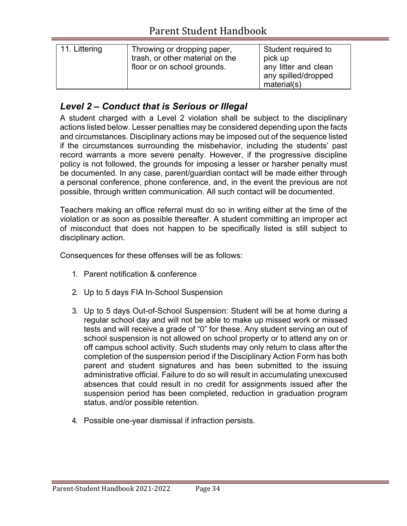| 11. Littering | Throwing or dropping paper,<br>trash, or other material on the<br>floor or on school grounds. | Student required to<br>pick up<br>any litter and clean<br>any spilled/dropped |
|---------------|-----------------------------------------------------------------------------------------------|-------------------------------------------------------------------------------|
|               |                                                                                               | material(s)                                                                   |

#### *Level 2 – Conduct that is Serious or Illegal*

A student charged with a Level 2 violation shall be subject to the disciplinary actions listed below. Lesser penalties may be considered depending upon the facts and circumstances. Disciplinary actions may be imposed out of the sequence listed if the circumstances surrounding the misbehavior, including the students' past record warrants a more severe penalty. However, if the progressive discipline policy is not followed, the grounds for imposing a lesser or harsher penalty must be documented. In any case, parent/guardian contact will be made either through a personal conference, phone conference, and, in the event the previous are not possible, through written communication. All such contact will be documented.

Teachers making an office referral must do so in writing either at the time of the violation or as soon as possible thereafter. A student committing an improper act of misconduct that does not happen to be specifically listed is still subject to disciplinary action.

Consequences for these offenses will be as follows:

- 1. Parent notification & conference
- 2. Up to 5 days FIA In-School Suspension
- 3. Up to 5 days Out-of-School Suspension: Student will be at home during a regular school day and will not be able to make up missed work or missed tests and will receive a grade of "0" for these. Any student serving an out of school suspension is not allowed on school property or to attend any on or off campus school activity. Such students may only return to class after the completion of the suspension period if the Disciplinary Action Form has both parent and student signatures and has been submitted to the issuing administrative official. Failure to do so will result in accumulating unexcused absences that could result in no credit for assignments issued after the suspension period has been completed, reduction in graduation program status, and/or possible retention.
- 4. Possible one-year dismissal if infraction persists.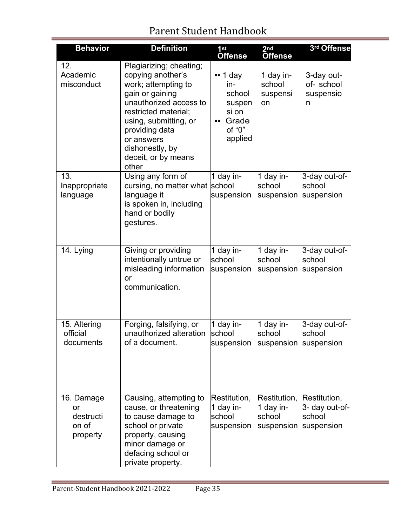E

| <b>Behavior</b>                                    | <b>Definition</b>                                                                                                                                                                                                                                    | 1st<br><b>Offense</b>                                                                 | 2 <sub>nd</sub><br><b>Offense</b>                 | 3rd Offense                                            |
|----------------------------------------------------|------------------------------------------------------------------------------------------------------------------------------------------------------------------------------------------------------------------------------------------------------|---------------------------------------------------------------------------------------|---------------------------------------------------|--------------------------------------------------------|
| 12.<br>Academic<br>misconduct                      | Plagiarizing; cheating;<br>copying another's<br>work; attempting to<br>gain or gaining<br>unauthorized access to<br>restricted material;<br>using, submitting, or<br>providing data<br>or answers<br>dishonestly, by<br>deceit, or by means<br>other | $\cdot \cdot$ 1 day<br>in-<br>school<br>suspen<br>si on<br>Grade<br>of "0"<br>applied | 1 day in-<br>school<br>suspensi<br>on             | 3-day out-<br>of- school<br>suspensio<br>n             |
| 13.<br>Inappropriate<br>language                   | Using any form of<br>cursing, no matter what school<br>language it<br>is spoken in, including<br>hand or bodily<br>gestures.                                                                                                                         | 1 day in-<br>suspension                                                               | 1 day in-<br>school<br>suspension                 | 3-day out-of-<br>school<br>suspension                  |
| 14. Lying                                          | Giving or providing<br>intentionally untrue or<br>misleading information<br>or<br>communication.                                                                                                                                                     | 1 day in-<br>school<br>suspension                                                     | 1 day in-<br>school<br>suspension                 | 3-day out-of-<br>school<br>suspension                  |
| 15. Altering<br>official<br>documents              | Forging, falsifying, or<br>unauthorized alteration<br>of a document.                                                                                                                                                                                 | 1 day in-<br>school<br>suspension                                                     | 1 day in-<br>school<br>suspension suspension      | 3-day out-of-<br>school                                |
| 16. Damage<br>or<br>destructi<br>on of<br>property | Causing, attempting to<br>cause, or threatening<br>to cause damage to<br>school or private<br>property, causing<br>minor damage or<br>defacing school or<br>private property.                                                                        | Restitution,<br>1 day in-<br>school<br>suspension                                     | Restitution,<br>1 day in-<br>school<br>suspension | Restitution,<br>3- day out-of-<br>school<br>suspension |

÷.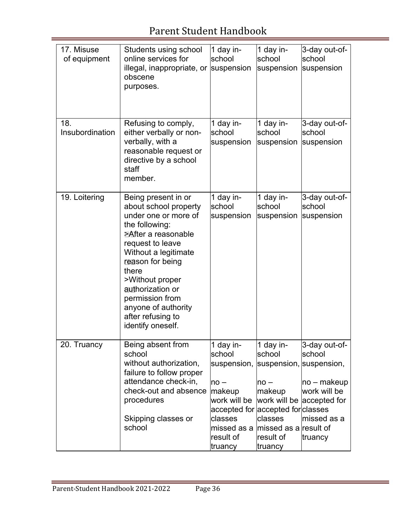| 17. Misuse<br>of equipment | Students using school<br>online services for<br>illegal, inappropriate, or<br>obscene<br>purposes.                                                                                                                                                                                                                       | 1 day in-<br>school<br>suspension                                                                                                              | 1 day in-<br>school<br>suspension                                                                                                           | 3-day out-of-<br>school<br>suspension                                                                             |
|----------------------------|--------------------------------------------------------------------------------------------------------------------------------------------------------------------------------------------------------------------------------------------------------------------------------------------------------------------------|------------------------------------------------------------------------------------------------------------------------------------------------|---------------------------------------------------------------------------------------------------------------------------------------------|-------------------------------------------------------------------------------------------------------------------|
| 18.<br>Insubordination     | Refusing to comply,<br>either verbally or non-<br>verbally, with a<br>reasonable request or<br>directive by a school<br>staff<br>member.                                                                                                                                                                                 | 1 day in-<br>school<br>suspension                                                                                                              | 1 day in-<br>school<br>suspension                                                                                                           | 3-day out-of-<br>school<br>suspension                                                                             |
| 19. Loitering              | Being present in or<br>about school property<br>under one or more of<br>the following:<br><b>PAfter a reasonable</b><br>request to leave<br>Without a legitimate<br>reason for being<br>there<br>>Without proper<br>authorization or<br>permission from<br>anyone of authority<br>after refusing to<br>identify oneself. | 1 day in-<br>school<br>suspension                                                                                                              | 1 day in-<br>school<br>suspension                                                                                                           | 3-day out-of-<br>school<br>suspension                                                                             |
| 20. Truancy                | Being absent from<br>school<br>without authorization,<br>failure to follow proper<br>attendance check-in,<br>check-out and absence<br>procedures<br>Skipping classes or<br>school                                                                                                                                        | 1 day in-<br>school<br>suspension,<br>$no -$<br>makeup<br>work will be<br>classes<br>missed as a missed as a result of<br>result of<br>truancy | 1 day in-<br>school<br>suspension, suspension,<br>$no -$<br> makeup<br>accepted for accepted for classes<br>classes<br>result of<br>truancy | 3-day out-of-<br>school<br>$ no - makeup $<br>work will be<br>work will be accepted for<br>missed as a<br>truancy |

÷.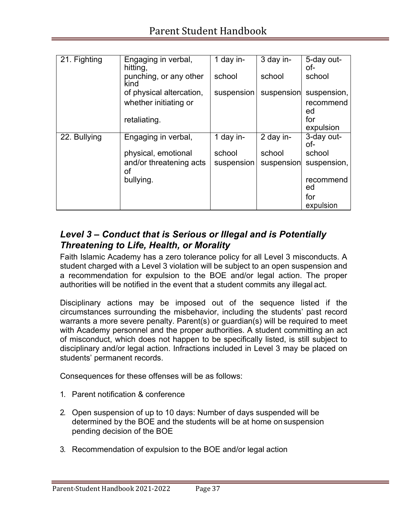| 21. Fighting | Engaging in verbal,<br>hitting,                   | 1 day in-  | 3 day in-  | 5-day out-<br>of-        |
|--------------|---------------------------------------------------|------------|------------|--------------------------|
|              | punching, or any other<br>kind                    | school     | school     | school                   |
|              | of physical altercation,<br>whether initiating or | suspension | suspension | suspension,<br>recommend |
|              | retaliating.                                      |            |            | ed<br>for<br>expulsion   |
| 22. Bullying | Engaging in verbal,                               | 1 day in-  | 2 day in-  | 3-day out-<br>of-        |
|              | physical, emotional                               | school     | school     | school                   |
|              | and/or threatening acts<br>οf                     | suspension | suspension | suspension,              |
|              | bullying.                                         |            |            | recommend<br>ed          |
|              |                                                   |            |            | for                      |
|              |                                                   |            |            | expulsion                |

### *Level 3 – Conduct that is Serious or Illegal and is Potentially Threatening to Life, Health, or Morality*

Faith Islamic Academy has a zero tolerance policy for all Level 3 misconducts. A student charged with a Level 3 violation will be subject to an open suspension and a recommendation for expulsion to the BOE and/or legal action. The proper authorities will be notified in the event that a student commits any illegal act.

Disciplinary actions may be imposed out of the sequence listed if the circumstances surrounding the misbehavior, including the students' past record warrants a more severe penalty. Parent(s) or guardian(s) will be required to meet with Academy personnel and the proper authorities. A student committing an act of misconduct, which does not happen to be specifically listed, is still subject to disciplinary and/or legal action. Infractions included in Level 3 may be placed on students' permanent records.

Consequences for these offenses will be as follows:

- 1. Parent notification & conference
- 2. Open suspension of up to 10 days: Number of days suspended will be determined by the BOE and the students will be at home on suspension pending decision of the BOE
- 3. Recommendation of expulsion to the BOE and/or legal action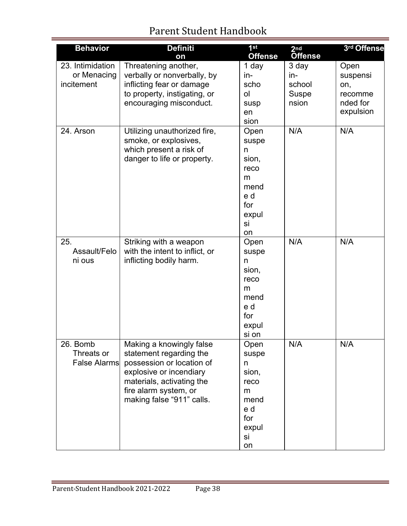| <b>Behavior</b>                               | <b>Definiti</b><br>on                                                                                                                                                                          | 1 <sup>st</sup><br><b>Offense</b>                                                   | 2 <sub>nd</sub><br><b>Offense</b>               | 3rd Offense                                                 |
|-----------------------------------------------|------------------------------------------------------------------------------------------------------------------------------------------------------------------------------------------------|-------------------------------------------------------------------------------------|-------------------------------------------------|-------------------------------------------------------------|
| 23. Intimidation<br>or Menacing<br>incitement | Threatening another,<br>verbally or nonverbally, by<br>inflicting fear or damage<br>to property, instigating, or<br>encouraging misconduct.                                                    | 1 day<br>in-<br>scho<br>ol<br>susp<br>en<br>sion                                    | 3 day<br>in-<br>school<br><b>Suspe</b><br>nsion | Open<br>suspensi<br>on,<br>recomme<br>nded for<br>expulsion |
| 24. Arson                                     | Utilizing unauthorized fire,<br>smoke, or explosives,<br>which present a risk of<br>danger to life or property.                                                                                | Open<br>suspe<br>n<br>sion,<br>reco<br>m<br>mend<br>e d<br>for<br>expul<br>si<br>on | N/A                                             | N/A                                                         |
| 25.<br>Assault/Felo<br>ni ous                 | Striking with a weapon<br>with the intent to inflict, or<br>inflicting bodily harm.                                                                                                            | Open<br>suspe<br>n<br>sion,<br>reco<br>m<br>mend<br>e d<br>for<br>expul<br>si on    | N/A                                             | N/A                                                         |
| 26. Bomb<br>Threats or<br><b>False Alarms</b> | Making a knowingly false<br>statement regarding the<br>possession or location of<br>explosive or incendiary<br>materials, activating the<br>fire alarm system, or<br>making false "911" calls. | Open<br>suspe<br>n<br>sion,<br>reco<br>m<br>mend<br>e d<br>for<br>expul<br>si<br>on | N/A                                             | N/A                                                         |

÷.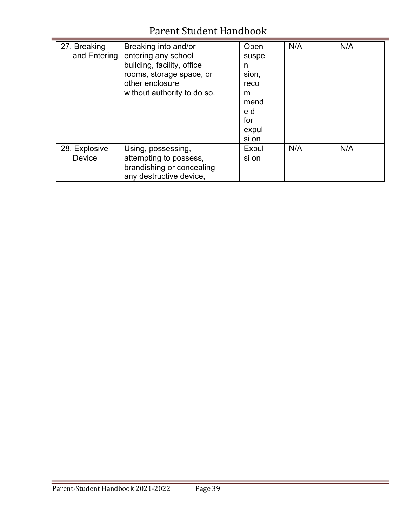| 27. Breaking  | Breaking into and/or        | Open  | N/A | N/A |
|---------------|-----------------------------|-------|-----|-----|
| and Entering  | entering any school         | suspe |     |     |
|               | building, facility, office  | n     |     |     |
|               | rooms, storage space, or    | sion, |     |     |
|               | other enclosure             | reco  |     |     |
|               | without authority to do so. | m     |     |     |
|               |                             | mend  |     |     |
|               |                             | e d   |     |     |
|               |                             | for   |     |     |
|               |                             | expul |     |     |
|               |                             | si on |     |     |
| 28. Explosive | Using, possessing,          | Expul | N/A | N/A |
| <b>Device</b> | attempting to possess,      | si on |     |     |
|               | brandishing or concealing   |       |     |     |
|               | any destructive device,     |       |     |     |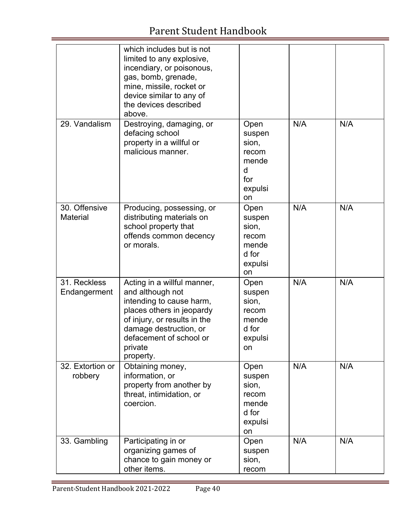|                              | which includes but is not<br>limited to any explosive,<br>incendiary, or poisonous,<br>gas, bomb, grenade,<br>mine, missile, rocket or<br>device similar to any of<br>the devices described<br>above.                 |                                                                        |     |     |
|------------------------------|-----------------------------------------------------------------------------------------------------------------------------------------------------------------------------------------------------------------------|------------------------------------------------------------------------|-----|-----|
| 29. Vandalism                | Destroying, damaging, or<br>defacing school<br>property in a willful or<br>malicious manner.                                                                                                                          | Open<br>suspen<br>sion,<br>recom<br>mende<br>d<br>for<br>expulsi<br>on | N/A | N/A |
| 30. Offensive<br>Material    | Producing, possessing, or<br>distributing materials on<br>school property that<br>offends common decency<br>or morals.                                                                                                | Open<br>suspen<br>sion,<br>recom<br>mende<br>d for<br>expulsi<br>on    | N/A | N/A |
| 31. Reckless<br>Endangerment | Acting in a willful manner,<br>and although not<br>intending to cause harm,<br>places others in jeopardy<br>of injury, or results in the<br>damage destruction, or<br>defacement of school or<br>private<br>property. | Open<br>suspen<br>sion,<br>recom<br>mende<br>d for<br>expulsi<br>on.   | N/A | N/A |
| 32. Extortion or<br>robbery  | Obtaining money,<br>information, or<br>property from another by<br>threat, intimidation, or<br>coercion.                                                                                                              | Open<br>suspen<br>sion,<br>recom<br>mende<br>d for<br>expulsi<br>on    | N/A | N/A |
| 33. Gambling                 | Participating in or<br>organizing games of<br>chance to gain money or<br>other items.                                                                                                                                 | Open<br>suspen<br>sion,<br>recom                                       | N/A | N/A |

÷.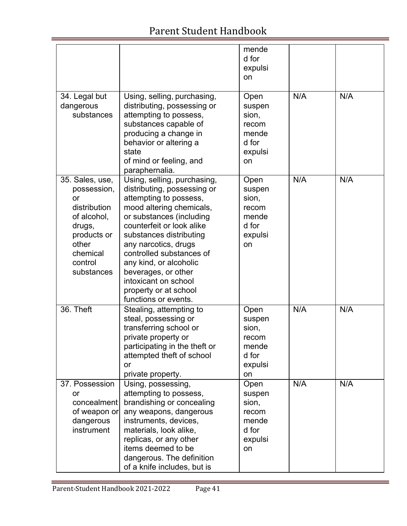|                                                                                                                                            |                                                                                                                                                                                                                                                                                                                                                                                    | mende<br>d for<br>expulsi<br>on                                     |     |     |
|--------------------------------------------------------------------------------------------------------------------------------------------|------------------------------------------------------------------------------------------------------------------------------------------------------------------------------------------------------------------------------------------------------------------------------------------------------------------------------------------------------------------------------------|---------------------------------------------------------------------|-----|-----|
| 34. Legal but<br>dangerous<br>substances                                                                                                   | Using, selling, purchasing,<br>distributing, possessing or<br>attempting to possess,<br>substances capable of<br>producing a change in<br>behavior or altering a<br>state<br>of mind or feeling, and<br>paraphernalia.                                                                                                                                                             | Open<br>suspen<br>sion,<br>recom<br>mende<br>d for<br>expulsi<br>on | N/A | N/A |
| 35. Sales, use,<br>possession,<br>or<br>distribution<br>of alcohol,<br>drugs,<br>products or<br>other<br>chemical<br>control<br>substances | Using, selling, purchasing,<br>distributing, possessing or<br>attempting to possess,<br>mood altering chemicals,<br>or substances (including<br>counterfeit or look alike<br>substances distributing<br>any narcotics, drugs<br>controlled substances of<br>any kind, or alcoholic<br>beverages, or other<br>intoxicant on school<br>property or at school<br>functions or events. | Open<br>suspen<br>sion,<br>recom<br>mende<br>d for<br>expulsi<br>on | N/A | N/A |
| 36. Theft                                                                                                                                  | Stealing, attempting to<br>steal, possessing or<br>transferring school or<br>private property or<br>participating in the theft or<br>attempted theft of school<br>or<br>private property.                                                                                                                                                                                          | Open<br>suspen<br>sion,<br>recom<br>mende<br>d for<br>expulsi<br>on | N/A | N/A |
| 37. Possession<br>or<br>concealment<br>of weapon or<br>dangerous<br>instrument                                                             | Using, possessing,<br>attempting to possess,<br>brandishing or concealing<br>any weapons, dangerous<br>instruments, devices,<br>materials, look alike,<br>replicas, or any other<br>items deemed to be<br>dangerous. The definition<br>of a knife includes, but is                                                                                                                 | Open<br>suspen<br>sion,<br>recom<br>mende<br>d for<br>expulsi<br>on | N/A | N/A |

÷

E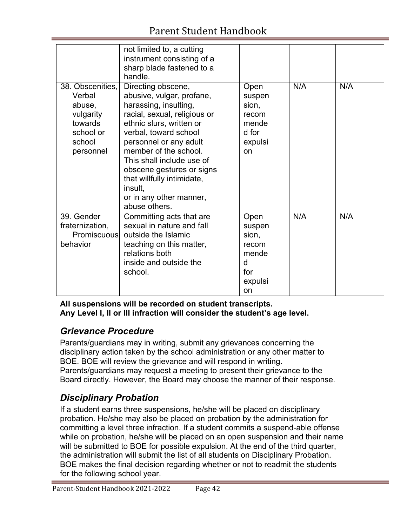|                                                                                                  | not limited to, a cutting<br>instrument consisting of a<br>sharp blade fastened to a<br>handle.                                                                                                                                                                                                                                                                 |                                                                               |     |     |
|--------------------------------------------------------------------------------------------------|-----------------------------------------------------------------------------------------------------------------------------------------------------------------------------------------------------------------------------------------------------------------------------------------------------------------------------------------------------------------|-------------------------------------------------------------------------------|-----|-----|
| 38. Obscenities,<br>Verbal<br>abuse,<br>vulgarity<br>towards<br>school or<br>school<br>personnel | Directing obscene,<br>abusive, vulgar, profane,<br>harassing, insulting,<br>racial, sexual, religious or<br>ethnic slurs, written or<br>verbal, toward school<br>personnel or any adult<br>member of the school.<br>This shall include use of<br>obscene gestures or signs<br>that willfully intimidate,<br>insult.<br>or in any other manner,<br>abuse others. | Open<br>suspen<br>sion,<br>recom<br>mende<br>d for<br>expulsi<br>on           | N/A | N/A |
| 39. Gender<br>fraternization,<br>Promiscuous<br>behavior                                         | Committing acts that are<br>sexual in nature and fall<br>outside the Islamic<br>teaching on this matter,<br>relations both<br>inside and outside the<br>school.                                                                                                                                                                                                 | Open<br>suspen<br>sion,<br>recom<br>mende<br>d<br>for<br>expulsi<br><b>on</b> | N/A | N/A |

**All suspensions will be recorded on student transcripts. Any Level I, II or III infraction will consider the student's age level.**

## *Grievance Procedure*

Parents/guardians may in writing, submit any grievances concerning the disciplinary action taken by the school administration or any other matter to BOE. BOE will review the grievance and will respond in writing. Parents/guardians may request a meeting to present their grievance to the Board directly. However, the Board may choose the manner of their response.

## *Disciplinary Probation*

If a student earns three suspensions, he/she will be placed on disciplinary probation. He/she may also be placed on probation by the administration for committing a level three infraction. If a student commits a suspend-able offense while on probation, he/she will be placed on an open suspension and their name will be submitted to BOE for possible expulsion. At the end of the third quarter, the administration will submit the list of all students on Disciplinary Probation. BOE makes the final decision regarding whether or not to readmit the students for the following school year.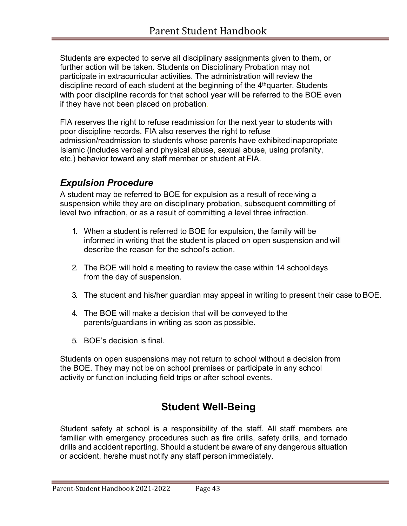Students are expected to serve all disciplinary assignments given to them, or further action will be taken. Students on Disciplinary Probation may not participate in extracurricular activities. The administration will review the discipline record of each student at the beginning of the  $4<sup>th</sup>$ quarter. Students with poor discipline records for that school year will be referred to the BOE even if they have not been placed on probation.

FIA reserves the right to refuse readmission for the next year to students with poor discipline records. FIA also reserves the right to refuse admission/readmission to students whose parents have exhibitedinappropriate Islamic (includes verbal and physical abuse, sexual abuse, using profanity, etc.) behavior toward any staff member or student at FIA.

### *Expulsion Procedure*

A student may be referred to BOE for expulsion as a result of receiving a suspension while they are on disciplinary probation, subsequent committing of level two infraction, or as a result of committing a level three infraction.

- 1. When a student is referred to BOE for expulsion, the family will be informed in writing that the student is placed on open suspension and will describe the reason for the school's action.
- 2. The BOE will hold a meeting to review the case within 14 school days from the day of suspension.
- 3. The student and his/her guardian may appeal in writing to present their case toBOE.
- 4. The BOE will make a decision that will be conveyed to the parents/guardians in writing as soon as possible.
- 5. BOE's decision is final.

Students on open suspensions may not return to school without a decision from the BOE. They may not be on school premises or participate in any school activity or function including field trips or after school events.

## **Student Well-Being**

Student safety at school is a responsibility of the staff. All staff members are familiar with emergency procedures such as fire drills, safety drills, and tornado drills and accident reporting. Should a student be aware of any dangerous situation or accident, he/she must notify any staff person immediately.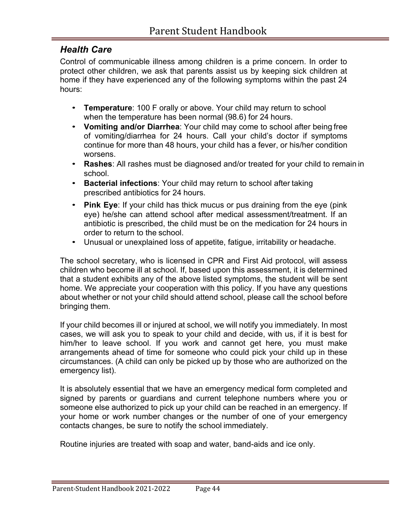#### *Health Care*

Control of communicable illness among children is a prime concern. In order to protect other children, we ask that parents assist us by keeping sick children at home if they have experienced any of the following symptoms within the past 24 hours:

- **Temperature**: 100 F orally or above. Your child may return to school when the temperature has been normal (98.6) for 24 hours.
- **Vomiting and/or Diarrhea**: Your child may come to school after being free of vomiting/diarrhea for 24 hours. Call your child's doctor if symptoms continue for more than 48 hours, your child has a fever, or his/her condition worsens.
- **Rashes**: All rashes must be diagnosed and/or treated for your child to remain in school.
- **Bacterial infections**: Your child may return to school after taking prescribed antibiotics for 24 hours.
- **Pink Eye**: If your child has thick mucus or pus draining from the eye (pink eye) he/she can attend school after medical assessment/treatment. If an antibiotic is prescribed, the child must be on the medication for 24 hours in order to return to the school.
- Unusual or unexplained loss of appetite, fatigue, irritability or headache.

The school secretary, who is licensed in CPR and First Aid protocol, will assess children who become ill at school. If, based upon this assessment, it is determined that a student exhibits any of the above listed symptoms, the student will be sent home. We appreciate your cooperation with this policy. If you have any questions about whether or not your child should attend school, please call the school before bringing them.

If your child becomes ill or injured at school, we will notify you immediately. In most cases, we will ask you to speak to your child and decide, with us, if it is best for him/her to leave school. If you work and cannot get here, you must make arrangements ahead of time for someone who could pick your child up in these circumstances. (A child can only be picked up by those who are authorized on the emergency list).

It is absolutely essential that we have an emergency medical form completed and signed by parents or guardians and current telephone numbers where you or someone else authorized to pick up your child can be reached in an emergency. If your home or work number changes or the number of one of your emergency contacts changes, be sure to notify the school immediately.

Routine injuries are treated with soap and water, band-aids and ice only.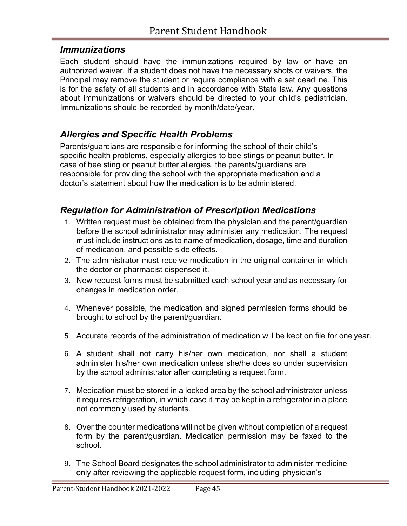#### *Immunizations*

Each student should have the immunizations required by law or have an authorized waiver. If a student does not have the necessary shots or waivers, the Principal may remove the student or require compliance with a set deadline. This is for the safety of all students and in accordance with State law. Any questions about immunizations or waivers should be directed to your child's pediatrician. Immunizations should be recorded by month/date/year.

### *Allergies and Specific Health Problems*

Parents/guardians are responsible for informing the school of their child's specific health problems, especially allergies to bee stings or peanut butter. In case of bee sting or peanut butter allergies, the parents/guardians are responsible for providing the school with the appropriate medication and a doctor's statement about how the medication is to be administered.

#### *Regulation for Administration of Prescription Medications*

- 1. Written request must be obtained from the physician and the parent/guardian before the school administrator may administer any medication. The request must include instructions as to name of medication, dosage, time and duration of medication, and possible side effects.
- 2. The administrator must receive medication in the original container in which the doctor or pharmacist dispensed it.
- 3. New request forms must be submitted each school year and as necessary for changes in medication order.
- 4. Whenever possible, the medication and signed permission forms should be brought to school by the parent/guardian.
- 5. Accurate records of the administration of medication will be kept on file for one year.
- 6. A student shall not carry his/her own medication, nor shall a student administer his/her own medication unless she/he does so under supervision by the school administrator after completing a request form.
- 7. Medication must be stored in a locked area by the school administrator unless it requires refrigeration, in which case it may be kept in a refrigerator in a place not commonly used by students.
- 8. Over the counter medications will not be given without completion of a request form by the parent/guardian. Medication permission may be faxed to the school.
- 9. The School Board designates the school administrator to administer medicine only after reviewing the applicable request form, including physician's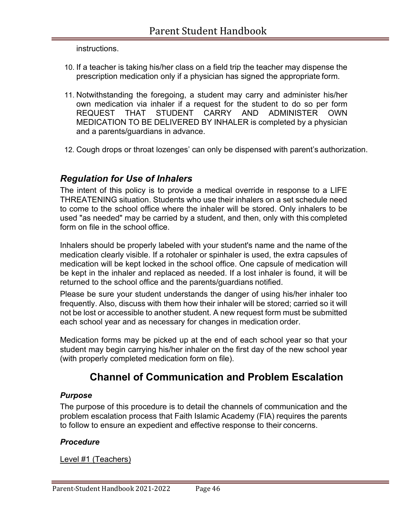instructions.

- 10. If a teacher is taking his/her class on a field trip the teacher may dispense the prescription medication only if a physician has signed the appropriate form.
- 11. Notwithstanding the foregoing, a student may carry and administer his/her own medication via inhaler if a request for the student to do so per form REQUEST THAT STUDENT CARRY AND ADMINISTER OWN MEDICATION TO BE DELIVERED BY INHALER is completed by a physician and a parents/guardians in advance.
- 12. Cough drops or throat lozenges' can only be dispensed with parent's authorization.

#### *Regulation for Use of Inhalers*

The intent of this policy is to provide a medical override in response to a LIFE THREATENING situation. Students who use their inhalers on a set schedule need to come to the school office where the inhaler will be stored. Only inhalers to be used "as needed" may be carried by a student, and then, only with this completed form on file in the school office.

Inhalers should be properly labeled with your student's name and the name of the medication clearly visible. If a rotohaler or spinhaler is used, the extra capsules of medication will be kept locked in the school office. One capsule of medication will be kept in the inhaler and replaced as needed. If a lost inhaler is found, it will be returned to the school office and the parents/guardians notified.

Please be sure your student understands the danger of using his/her inhaler too frequently. Also, discuss with them how their inhaler will be stored; carried so it will not be lost or accessible to another student. A new request form must be submitted each school year and as necessary for changes in medication order.

Medication forms may be picked up at the end of each school year so that your student may begin carrying his/her inhaler on the first day of the new school year (with properly completed medication form on file).

### **Channel of Communication and Problem Escalation**

#### *Purpose*

The purpose of this procedure is to detail the channels of communication and the problem escalation process that Faith Islamic Academy (FIA) requires the parents to follow to ensure an expedient and effective response to their concerns.

#### *Procedure*

Level #1 (Teachers)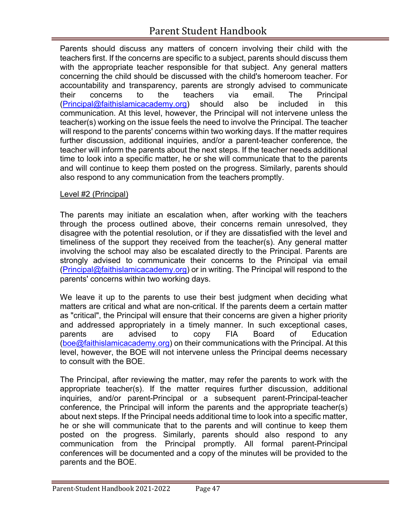Parents should discuss any matters of concern involving their child with the teachers first. If the concerns are specific to a subject, parents should discuss them with the appropriate teacher responsible for that subject. Any general matters concerning the child should be discussed with the child's homeroom teacher. For accountability and transparency, parents are strongly advised to communicate their concerns to the teachers via email. The Principal (Principal@faithislamicacademy.org) should also be included in this communication. At this level, however, the Principal will not intervene unless the teacher(s) working on the issue feels the need to involve the Principal. The teacher will respond to the parents' concerns within two working days. If the matter requires further discussion, additional inquiries, and/or a parent-teacher conference, the teacher will inform the parents about the next steps. If the teacher needs additional time to look into a specific matter, he or she will communicate that to the parents and will continue to keep them posted on the progress. Similarly, parents should also respond to any communication from the teachers promptly.

#### Level #2 (Principal)

The parents may initiate an escalation when, after working with the teachers through the process outlined above, their concerns remain unresolved, they disagree with the potential resolution, or if they are dissatisfied with the level and timeliness of the support they received from the teacher(s). Any general matter involving the school may also be escalated directly to the Principal. Parents are strongly advised to communicate their concerns to the Principal via email (Principal@faithislamicacademy.org) or in writing. The Principal will respond to the parents' concerns within two working days.

We leave it up to the parents to use their best judgment when deciding what matters are critical and what are non-critical. If the parents deem a certain matter as "critical", the Principal will ensure that their concerns are given a higher priority and addressed appropriately in a timely manner. In such exceptional cases, parents are advised to copy FIA Board of Education (boe@faithislamicacademy.org) on their communications with the Principal. At this level, however, the BOE will not intervene unless the Principal deems necessary to consult with the BOE.

The Principal, after reviewing the matter, may refer the parents to work with the appropriate teacher(s). If the matter requires further discussion, additional inquiries, and/or parent-Principal or a subsequent parent-Principal-teacher conference, the Principal will inform the parents and the appropriate teacher(s) about next steps. If the Principal needs additional time to look into a specific matter, he or she will communicate that to the parents and will continue to keep them posted on the progress. Similarly, parents should also respond to any communication from the Principal promptly. All formal parent-Principal conferences will be documented and a copy of the minutes will be provided to the parents and the BOE.